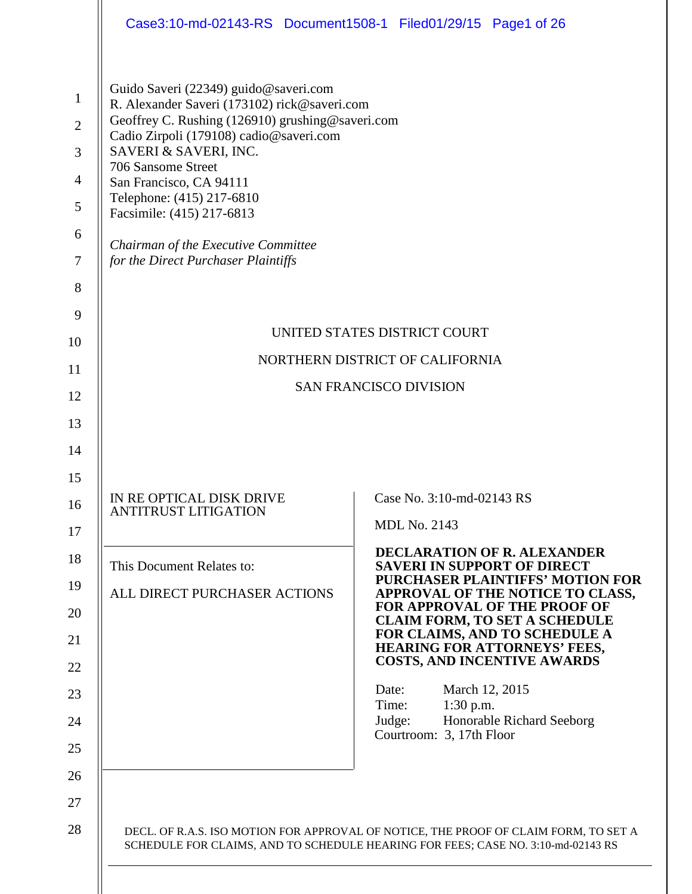| Case3:10-md-02143-RS Document1508-1 Filed01/29/15 Page1 of 26                                                                                                                                                                                                                                                                                                                                                                                                                       |                                                                                                                                                                          |  |  |  |  |  |  |  |  |  |
|-------------------------------------------------------------------------------------------------------------------------------------------------------------------------------------------------------------------------------------------------------------------------------------------------------------------------------------------------------------------------------------------------------------------------------------------------------------------------------------|--------------------------------------------------------------------------------------------------------------------------------------------------------------------------|--|--|--|--|--|--|--|--|--|
| Guido Saveri (22349) guido@saveri.com<br>$\mathbf{1}$<br>R. Alexander Saveri (173102) rick@saveri.com<br>Geoffrey C. Rushing (126910) grushing@saveri.com<br>$\overline{2}$<br>Cadio Zirpoli (179108) cadio@saveri.com<br>SAVERI & SAVERI, INC.<br>3<br>706 Sansome Street<br>$\overline{4}$<br>San Francisco, CA 94111<br>Telephone: (415) 217-6810<br>5<br>Facsimile: (415) 217-6813<br>6<br>Chairman of the Executive Committee<br>$\tau$<br>for the Direct Purchaser Plaintiffs |                                                                                                                                                                          |  |  |  |  |  |  |  |  |  |
| 8                                                                                                                                                                                                                                                                                                                                                                                                                                                                                   |                                                                                                                                                                          |  |  |  |  |  |  |  |  |  |
| 9                                                                                                                                                                                                                                                                                                                                                                                                                                                                                   |                                                                                                                                                                          |  |  |  |  |  |  |  |  |  |
| UNITED STATES DISTRICT COURT                                                                                                                                                                                                                                                                                                                                                                                                                                                        |                                                                                                                                                                          |  |  |  |  |  |  |  |  |  |
| NORTHERN DISTRICT OF CALIFORNIA                                                                                                                                                                                                                                                                                                                                                                                                                                                     |                                                                                                                                                                          |  |  |  |  |  |  |  |  |  |
| <b>SAN FRANCISCO DIVISION</b>                                                                                                                                                                                                                                                                                                                                                                                                                                                       |                                                                                                                                                                          |  |  |  |  |  |  |  |  |  |
| 13                                                                                                                                                                                                                                                                                                                                                                                                                                                                                  |                                                                                                                                                                          |  |  |  |  |  |  |  |  |  |
| 14                                                                                                                                                                                                                                                                                                                                                                                                                                                                                  |                                                                                                                                                                          |  |  |  |  |  |  |  |  |  |
| 15                                                                                                                                                                                                                                                                                                                                                                                                                                                                                  |                                                                                                                                                                          |  |  |  |  |  |  |  |  |  |
| IN RE OPTICAL DISK DRIVE<br>16<br><b>ANTITRUST LITIGATION</b>                                                                                                                                                                                                                                                                                                                                                                                                                       | Case No. 3:10-md-02143 RS                                                                                                                                                |  |  |  |  |  |  |  |  |  |
| 17                                                                                                                                                                                                                                                                                                                                                                                                                                                                                  | <b>MDL No. 2143</b>                                                                                                                                                      |  |  |  |  |  |  |  |  |  |
| 18<br>This Document Relates to:                                                                                                                                                                                                                                                                                                                                                                                                                                                     | <b>DECLARATION OF R. ALEXANDER</b><br><b>SAVERI IN SUPPORT OF DIRECT</b>                                                                                                 |  |  |  |  |  |  |  |  |  |
| 19<br>ALL DIRECT PURCHASER ACTIONS                                                                                                                                                                                                                                                                                                                                                                                                                                                  | <b>PURCHASER PLAINTIFFS' MOTION FOR</b><br>APPROVAL OF THE NOTICE TO CLASS,                                                                                              |  |  |  |  |  |  |  |  |  |
| 20<br>21                                                                                                                                                                                                                                                                                                                                                                                                                                                                            | <b>FOR APPROVAL OF THE PROOF OF</b><br><b>CLAIM FORM, TO SET A SCHEDULE</b><br>FOR CLAIMS, AND TO SCHEDULE A                                                             |  |  |  |  |  |  |  |  |  |
|                                                                                                                                                                                                                                                                                                                                                                                                                                                                                     | <b>HEARING FOR ATTORNEYS' FEES,</b><br><b>COSTS, AND INCENTIVE AWARDS</b>                                                                                                |  |  |  |  |  |  |  |  |  |
| 22                                                                                                                                                                                                                                                                                                                                                                                                                                                                                  | March 12, 2015<br>Date:                                                                                                                                                  |  |  |  |  |  |  |  |  |  |
| 23                                                                                                                                                                                                                                                                                                                                                                                                                                                                                  | $1:30$ p.m.<br>Time:                                                                                                                                                     |  |  |  |  |  |  |  |  |  |
| 24<br>25                                                                                                                                                                                                                                                                                                                                                                                                                                                                            | Honorable Richard Seeborg<br>Judge:<br>Courtroom: 3, 17th Floor                                                                                                          |  |  |  |  |  |  |  |  |  |
| 26                                                                                                                                                                                                                                                                                                                                                                                                                                                                                  |                                                                                                                                                                          |  |  |  |  |  |  |  |  |  |
| 27                                                                                                                                                                                                                                                                                                                                                                                                                                                                                  |                                                                                                                                                                          |  |  |  |  |  |  |  |  |  |
| 28                                                                                                                                                                                                                                                                                                                                                                                                                                                                                  | DECL. OF R.A.S. ISO MOTION FOR APPROVAL OF NOTICE, THE PROOF OF CLAIM FORM, TO SET A<br>SCHEDULE FOR CLAIMS, AND TO SCHEDULE HEARING FOR FEES; CASE NO. 3:10-md-02143 RS |  |  |  |  |  |  |  |  |  |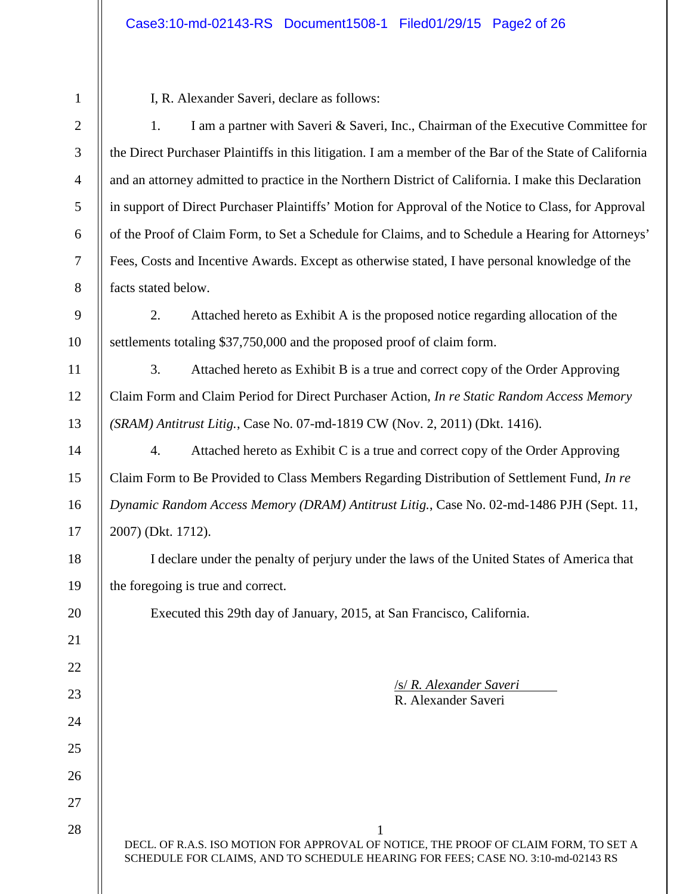| $\mathbf{1}$   | I, R. Alexander Saveri, declare as follows:                                                                                                                              |
|----------------|--------------------------------------------------------------------------------------------------------------------------------------------------------------------------|
| $\overline{2}$ | 1.<br>I am a partner with Saveri & Saveri, Inc., Chairman of the Executive Committee for                                                                                 |
| 3              | the Direct Purchaser Plaintiffs in this litigation. I am a member of the Bar of the State of California                                                                  |
| $\overline{4}$ | and an attorney admitted to practice in the Northern District of California. I make this Declaration                                                                     |
| 5              | in support of Direct Purchaser Plaintiffs' Motion for Approval of the Notice to Class, for Approval                                                                      |
| 6              | of the Proof of Claim Form, to Set a Schedule for Claims, and to Schedule a Hearing for Attorneys'                                                                       |
| $\overline{7}$ | Fees, Costs and Incentive Awards. Except as otherwise stated, I have personal knowledge of the                                                                           |
| 8              | facts stated below.                                                                                                                                                      |
| 9              | 2.<br>Attached hereto as Exhibit A is the proposed notice regarding allocation of the                                                                                    |
| 10             | settlements totaling \$37,750,000 and the proposed proof of claim form.                                                                                                  |
| 11             | 3.<br>Attached hereto as Exhibit B is a true and correct copy of the Order Approving                                                                                     |
| 12             | Claim Form and Claim Period for Direct Purchaser Action, In re Static Random Access Memory                                                                               |
| 13             | (SRAM) Antitrust Litig., Case No. 07-md-1819 CW (Nov. 2, 2011) (Dkt. 1416).                                                                                              |
| 14             | $\overline{4}$ .<br>Attached hereto as Exhibit C is a true and correct copy of the Order Approving                                                                       |
| 15             | Claim Form to Be Provided to Class Members Regarding Distribution of Settlement Fund, In re                                                                              |
| 16             | Dynamic Random Access Memory (DRAM) Antitrust Litig., Case No. 02-md-1486 PJH (Sept. 11,                                                                                 |
| 17             | 2007) (Dkt. 1712).                                                                                                                                                       |
| 18             | I declare under the penalty of perjury under the laws of the United States of America that                                                                               |
| 19             | the foregoing is true and correct.                                                                                                                                       |
| 20             | Executed this 29th day of January, 2015, at San Francisco, California.                                                                                                   |
| 21             |                                                                                                                                                                          |
| 22             |                                                                                                                                                                          |
| 23             | <b>/s/ R. Alexander Saveri</b><br>R. Alexander Saveri                                                                                                                    |
| 24             |                                                                                                                                                                          |
| 25             |                                                                                                                                                                          |
| 26             |                                                                                                                                                                          |
| 27             |                                                                                                                                                                          |
| 28             | DECL. OF R.A.S. ISO MOTION FOR APPROVAL OF NOTICE, THE PROOF OF CLAIM FORM, TO SET A<br>SCHEDULE FOR CLAIMS, AND TO SCHEDULE HEARING FOR FEES; CASE NO. 3:10-md-02143 RS |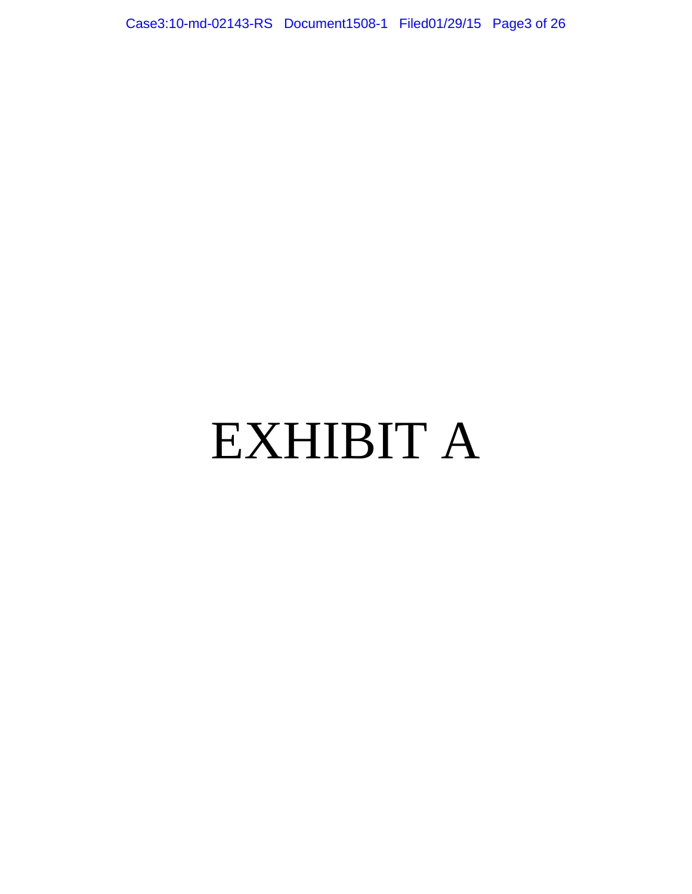Case3:10-md-02143-RS Document1508-1 Filed01/29/15 Page3 of 26

# EXHIBIT A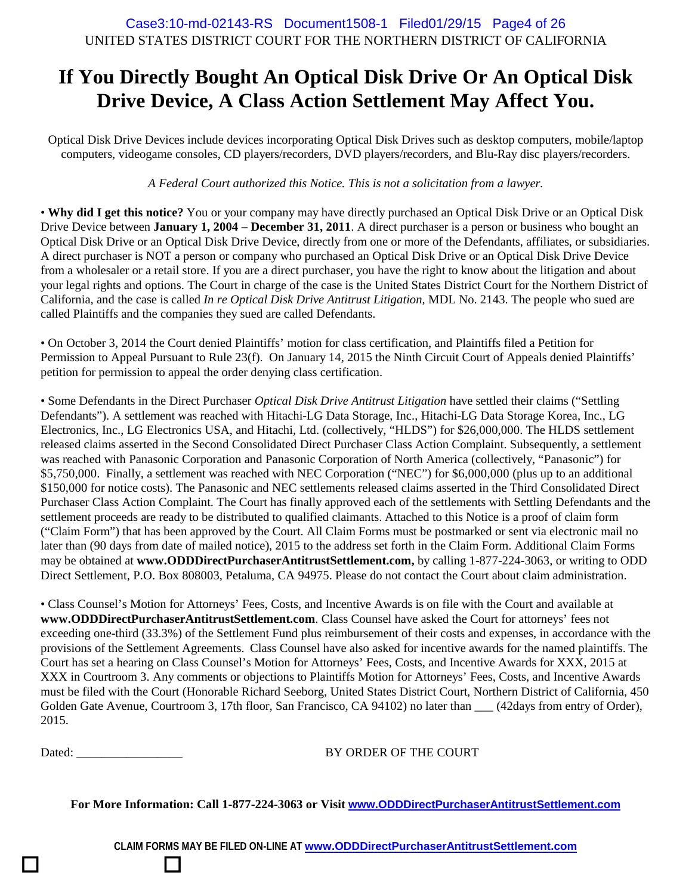# **If You Directly Bought An Optical Disk Drive Or An Optical Disk Drive Device, A Class Action Settlement May Affect You.**

Optical Disk Drive Devices include devices incorporating Optical Disk Drives such as desktop computers, mobile/laptop computers, videogame consoles, CD players/recorders, DVD players/recorders, and Blu-Ray disc players/recorders.

*A Federal Court authorized this Notice. This is not a solicitation from a lawyer.*

• **Why did I get this notice?** You or your company may have directly purchased an Optical Disk Drive or an Optical Disk Drive Device between **January 1, 2004 – December 31, 2011**. A direct purchaser is a person or business who bought an Optical Disk Drive or an Optical Disk Drive Device, directly from one or more of the Defendants, affiliates, or subsidiaries. A direct purchaser is NOT a person or company who purchased an Optical Disk Drive or an Optical Disk Drive Device from a wholesaler or a retail store. If you are a direct purchaser, you have the right to know about the litigation and about your legal rights and options. The Court in charge of the case is the United States District Court for the Northern District of California, and the case is called *In re Optical Disk Drive Antitrust Litigation*, MDL No. 2143. The people who sued are called Plaintiffs and the companies they sued are called Defendants.

• On October 3, 2014 the Court denied Plaintiffs' motion for class certification, and Plaintiffs filed a Petition for Permission to Appeal Pursuant to Rule 23(f). On January 14, 2015 the Ninth Circuit Court of Appeals denied Plaintiffs' petition for permission to appeal the order denying class certification.

• Some Defendants in the Direct Purchaser *Optical Disk Drive Antitrust Litigation* have settled their claims ("Settling Defendants"). A settlement was reached with Hitachi-LG Data Storage, Inc., Hitachi-LG Data Storage Korea, Inc., LG Electronics, Inc., LG Electronics USA, and Hitachi, Ltd. (collectively, "HLDS") for \$26,000,000. The HLDS settlement released claims asserted in the Second Consolidated Direct Purchaser Class Action Complaint. Subsequently, a settlement was reached with Panasonic Corporation and Panasonic Corporation of North America (collectively, "Panasonic") for \$5,750,000. Finally, a settlement was reached with NEC Corporation ("NEC") for \$6,000,000 (plus up to an additional \$150,000 for notice costs). The Panasonic and NEC settlements released claims asserted in the Third Consolidated Direct Purchaser Class Action Complaint. The Court has finally approved each of the settlements with Settling Defendants and the settlement proceeds are ready to be distributed to qualified claimants. Attached to this Notice is a proof of claim form ("Claim Form") that has been approved by the Court. All Claim Forms must be postmarked or sent via electronic mail no later than (90 days from date of mailed notice), 2015 to the address set forth in the Claim Form. Additional Claim Forms may be obtained at **www.ODDDirectPurchaserAntitrustSettlement.com,** by calling 1-877-224-3063, or writing to ODD Direct Settlement, P.O. Box 808003, Petaluma, CA 94975. Please do not contact the Court about claim administration.

• Class Counsel's Motion for Attorneys' Fees, Costs, and Incentive Awards is on file with the Court and available at **www.ODDDirectPurchaserAntitrustSettlement.com**. Class Counsel have asked the Court for attorneys' fees not exceeding one-third (33.3%) of the Settlement Fund plus reimbursement of their costs and expenses, in accordance with the provisions of the Settlement Agreements. Class Counsel have also asked for incentive awards for the named plaintiffs. The Court has set a hearing on Class Counsel's Motion for Attorneys' Fees, Costs, and Incentive Awards for XXX, 2015 at XXX in Courtroom 3. Any comments or objections to Plaintiffs Motion for Attorneys' Fees, Costs, and Incentive Awards must be filed with the Court (Honorable Richard Seeborg, United States District Court, Northern District of California, 450 Golden Gate Avenue, Courtroom 3, 17th floor, San Francisco, CA 94102) no later than \_\_\_ (42days from entry of Order), 2015.

 $\Box$  and  $\Box$  and  $\Box$  and  $\Box$  and  $\Box$  and  $\Box$  and  $\Box$  and  $\Box$  and  $\Box$  and  $\Box$  and  $\Box$  and  $\Box$  and  $\Box$  and  $\Box$  and  $\Box$  and  $\Box$  and  $\Box$  and  $\Box$  and  $\Box$  and  $\Box$  and  $\Box$  and  $\Box$  and  $\Box$  and  $\Box$  and  $\Box$ 

Dated: BY ORDER OF THE COURT

**For More Information: Call 1-877-224-3063 or Visit www.ODDDirectPurchaserAntitrustSettlement.com**

**CLAIM FORMS MAY BE FILED ON-LINE AT www.ODDDirectPurchaserAntitrustSettlement.com**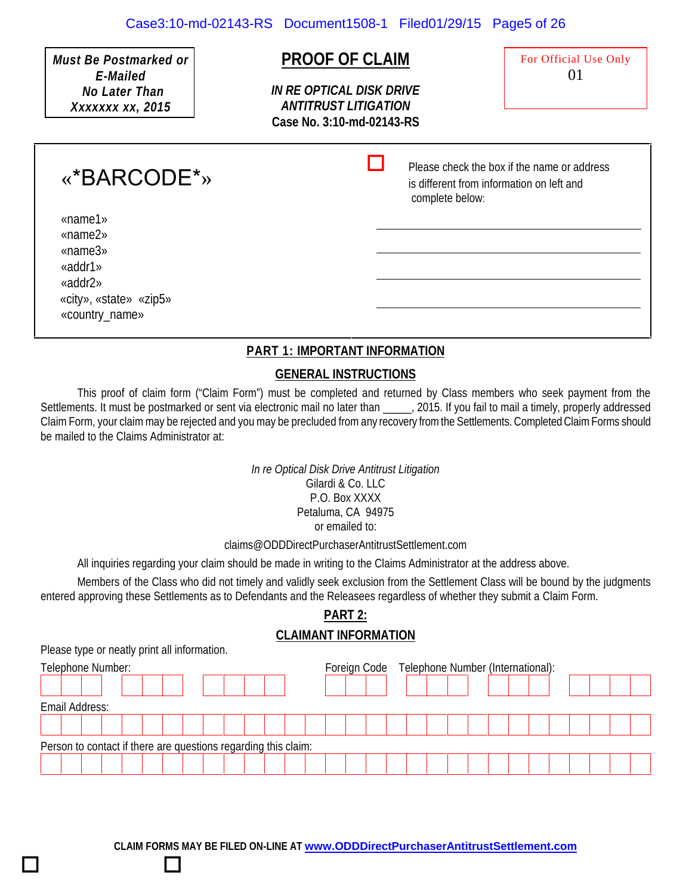*Must Be Postmarked or E-Mailed No Later Than Xxxxxxx xx, 2015*

## **PROOF OF CLAIM**

*IN RE OPTICAL DISK DRIVE ANTITRUST LITIGATION* **Case No. 3:10-md-02143-RS** For Official Use Only 01

 $\Box$  Please check the box if the name or address is different from information on left and complete below:

«name1» «name2» «name3» «addr1» «addr2»

«\*BARCODE\*»

«city», «state» «zip5» «country\_name»

#### **PART 1: IMPORTANT INFORMATION**

#### **GENERAL INSTRUCTIONS**

This proof of claim form ("Claim Form") must be completed and returned by Class members who seek payment from the Settlements. It must be postmarked or sent via electronic mail no later than 2015. If you fail to mail a timely, properly addressed Claim Form, your claim may be rejected and you may be precluded from any recovery from the Settlements. CompletedClaim Forms should be mailed to the Claims Administrator at:

> *In re Optical Disk Drive Antitrust Litigation* Gilardi & Co. LLC P.O. Box XXXX Petaluma, CA 94975 or emailed to:

#### claims@ODDDirectPurchaserAntitrustSettlement.com

All inquiries regarding your claim should be made in writing to the Claims Administrator at the address above.

Members of the Class who did not timely and validly seek exclusion from the Settlement Class will be bound by the judgments entered approving these Settlements as to Defendants and the Releasees regardless of whether they submit a Claim Form.

### **PART 2:**

#### **CLAIMANT INFORMATION**

Please type or neatly print all information.

 $\Box$  and  $\Box$  and  $\Box$  and  $\Box$  and  $\Box$  and  $\Box$  and  $\Box$  and  $\Box$  and  $\Box$  and  $\Box$  and  $\Box$  and  $\Box$  and  $\Box$  and  $\Box$  and  $\Box$  and  $\Box$  and  $\Box$  and  $\Box$  and  $\Box$  and  $\Box$  and  $\Box$  and  $\Box$  and  $\Box$  and  $\Box$  and  $\Box$ 

| Telephone Number: |                                                                |  |  |  |  |  |  |  |  |  |  |  | Foreign Code Telephone Number (International): |  |  |  |  |  |  |  |  |  |  |  |  |  |  |
|-------------------|----------------------------------------------------------------|--|--|--|--|--|--|--|--|--|--|--|------------------------------------------------|--|--|--|--|--|--|--|--|--|--|--|--|--|--|
|                   |                                                                |  |  |  |  |  |  |  |  |  |  |  |                                                |  |  |  |  |  |  |  |  |  |  |  |  |  |  |
|                   | Email Address:                                                 |  |  |  |  |  |  |  |  |  |  |  |                                                |  |  |  |  |  |  |  |  |  |  |  |  |  |  |
|                   |                                                                |  |  |  |  |  |  |  |  |  |  |  |                                                |  |  |  |  |  |  |  |  |  |  |  |  |  |  |
|                   | Person to contact if there are questions regarding this claim: |  |  |  |  |  |  |  |  |  |  |  |                                                |  |  |  |  |  |  |  |  |  |  |  |  |  |  |
|                   |                                                                |  |  |  |  |  |  |  |  |  |  |  |                                                |  |  |  |  |  |  |  |  |  |  |  |  |  |  |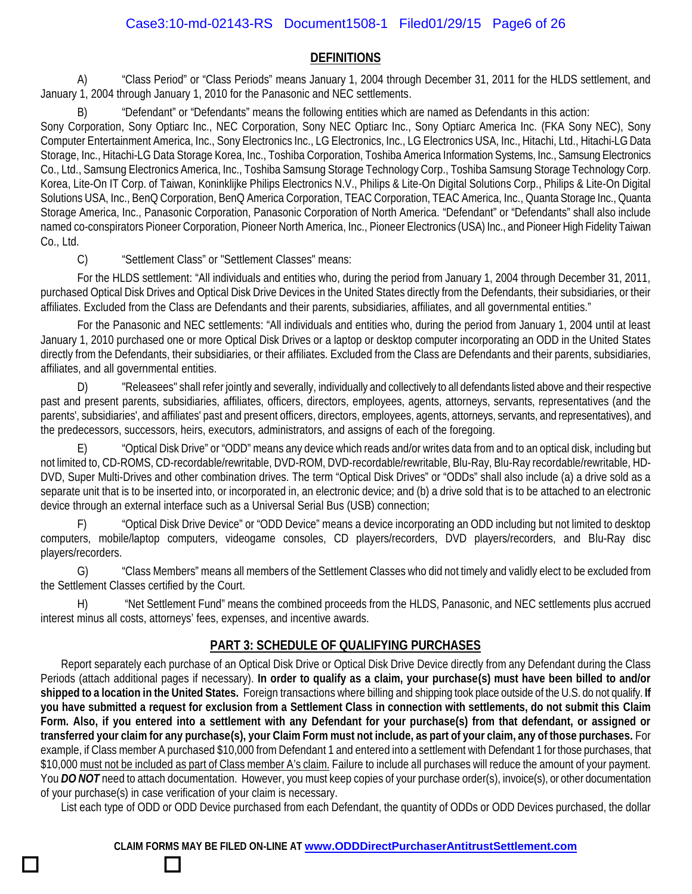#### **DEFINITIONS**

A) "Class Period" or "Class Periods" means January 1, 2004 through December 31, 2011 for the HLDS settlement, and January 1, 2004 through January 1, 2010 for the Panasonic and NEC settlements.

"Defendant" or "Defendants" means the following entities which are named as Defendants in this action:

Sony Corporation, Sony Optiarc Inc., NEC Corporation, Sony NEC Optiarc Inc., Sony Optiarc America Inc. (FKA Sony NEC), Sony Computer Entertainment America, Inc., Sony Electronics Inc., LG Electronics, Inc., LG Electronics USA, Inc., Hitachi, Ltd., Hitachi-LG Data Storage, Inc., Hitachi-LG Data Storage Korea, Inc., Toshiba Corporation, Toshiba America Information Systems, Inc., Samsung Electronics Co., Ltd., Samsung Electronics America, Inc., Toshiba Samsung Storage Technology Corp., Toshiba Samsung Storage Technology Corp. Korea, Lite-On IT Corp. of Taiwan, Koninklijke Philips Electronics N.V., Philips & Lite-On Digital Solutions Corp., Philips & Lite-On Digital Solutions USA, Inc., BenQ Corporation, BenQ America Corporation, TEAC Corporation, TEAC America, Inc., Quanta Storage Inc., Quanta Storage America, Inc., Panasonic Corporation, Panasonic Corporation of North America. "Defendant" or "Defendants" shall also include named co-conspirators Pioneer Corporation, Pioneer North America, Inc., Pioneer Electronics (USA) Inc., and Pioneer High Fidelity Taiwan Co., Ltd.

C) "Settlement Class" or "Settlement Classes" means:

 $\Box$  and  $\Box$  and  $\Box$  and  $\Box$  and  $\Box$  and  $\Box$  and  $\Box$  and  $\Box$  and  $\Box$  and  $\Box$  and  $\Box$  and  $\Box$  and  $\Box$  and  $\Box$  and  $\Box$  and  $\Box$  and  $\Box$  and  $\Box$  and  $\Box$  and  $\Box$  and  $\Box$  and  $\Box$  and  $\Box$  and  $\Box$  and  $\Box$ 

For the HLDS settlement: "All individuals and entities who, during the period from January 1, 2004 through December 31, 2011, purchased Optical Disk Drives and Optical Disk Drive Devices in the United States directly from the Defendants, their subsidiaries, or their affiliates. Excluded from the Class are Defendants and their parents, subsidiaries, affiliates, and all governmental entities."

For the Panasonic and NEC settlements: "All individuals and entities who, during the period from January 1, 2004 until at least January 1, 2010 purchased one or more Optical Disk Drives or a laptop or desktop computer incorporating an ODD in the United States directly from the Defendants, their subsidiaries, or their affiliates. Excluded from the Class are Defendants and their parents, subsidiaries, affiliates, and all governmental entities.

D) "Releasees" shall refer jointly and severally, individually and collectively to all defendants listed above and their respective past and present parents, subsidiaries, affiliates, officers, directors, employees, agents, attorneys, servants, representatives (and the parents', subsidiaries', and affiliates' past and present officers, directors, employees, agents, attorneys, servants, and representatives), and the predecessors, successors, heirs, executors, administrators, and assigns of each of the foregoing.

E) "Optical Disk Drive" or "ODD" means any device which reads and/or writes data from and to an optical disk, including but not limited to, CD-ROMS, CD-recordable/rewritable, DVD-ROM, DVD-recordable/rewritable, Blu-Ray, Blu-Ray recordable/rewritable, HD- DVD, Super Multi-Drives and other combination drives. The term "Optical Disk Drives" or "ODDs" shall also include (a) a drive sold as a separate unit that is to be inserted into, or incorporated in, an electronic device; and (b) a drive sold that is to be attached to an electronic device through an external interface such as a Universal Serial Bus (USB) connection;

F) "Optical Disk Drive Device" or "ODD Device" means a device incorporating an ODD including but not limited to desktop computers, mobile/laptop computers, videogame consoles, CD players/recorders, DVD players/recorders, and Blu-Ray disc players/recorders.

G) "Class Members" means all members of the Settlement Classes who did not timely and validly elect to be excluded from the Settlement Classes certified by the Court.

H) "Net Settlement Fund" means the combined proceeds from the HLDS, Panasonic, and NEC settlements plus accrued interest minus all costs, attorneys' fees, expenses, and incentive awards.

#### **PART 3: SCHEDULE OF QUALIFYING PURCHASES**

Report separately each purchase of an Optical Disk Drive or Optical Disk Drive Device directly from any Defendant during the Class Periods (attach additional pages if necessary). **In order to qualify as a claim, your purchase(s) must have been billed to and/or shipped to a location in the United States.** Foreign transactions where billing and shipping took place outside of the U.S. do not qualify. **If you have submitted a request for exclusion from a Settlement Class in connection with settlements, do not submit this Claim Form. Also, if you entered into a settlement with any Defendant for your purchase(s) from that defendant, or assigned or transferred your claim for any purchase(s), your Claim Form must not include, as part of your claim, any of those purchases.** For example, if Class member A purchased \$10,000 from Defendant 1 and entered into a settlement with Defendant 1 for those purchases, that \$10,000 must not be included as part of Class member A's claim. Failure to include all purchases will reduce the amount of your payment. You DO NOT need to attach documentation. However, you must keep copies of your purchase order(s), invoice(s), or other documentation of your purchase(s) in case verification of your claim is necessary.

List each type of ODD or ODD Device purchased from each Defendant, the quantity of ODDs or ODD Devices purchased, the dollar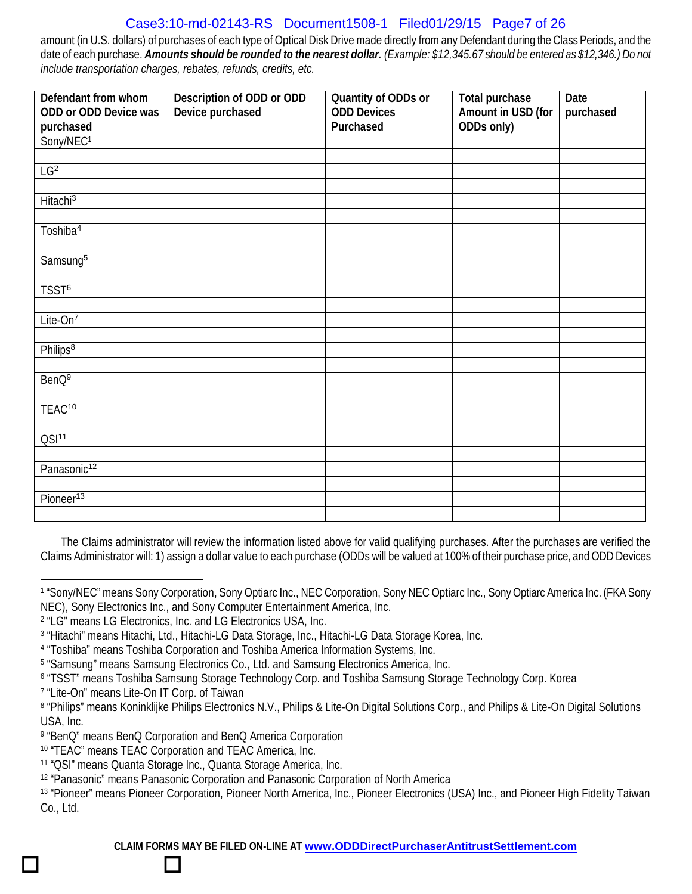#### Case3:10-md-02143-RS Document1508-1 Filed01/29/15 Page7 of 26

amount (in U.S. dollars) of purchases of each type of Optical Disk Drive made directly from any Defendant during the Class Periods, and the date of each purchase. *Amounts should be rounded to the nearest dollar. (Example: \$12,345.67 should be entered as \$12,346.) Do not include transportation charges, rebates, refunds, credits, etc.*

| Defendant from whom     | Description of ODD or ODD | Quantity of ODDs or | Total purchase     | Date      |
|-------------------------|---------------------------|---------------------|--------------------|-----------|
| ODD or ODD Device was   | Device purchased          | <b>ODD</b> Devices  | Amount in USD (for | purchased |
| purchased               |                           | Purchased           | ODDs only)         |           |
| Sony/NEC <sup>1</sup>   |                           |                     |                    |           |
|                         |                           |                     |                    |           |
| $LG^2$                  |                           |                     |                    |           |
| Hitachi <sup>3</sup>    |                           |                     |                    |           |
|                         |                           |                     |                    |           |
| Toshiba <sup>4</sup>    |                           |                     |                    |           |
|                         |                           |                     |                    |           |
| Samsung <sup>5</sup>    |                           |                     |                    |           |
|                         |                           |                     |                    |           |
| TSST <sup>6</sup>       |                           |                     |                    |           |
|                         |                           |                     |                    |           |
| Lite-On <sup>7</sup>    |                           |                     |                    |           |
|                         |                           |                     |                    |           |
| Philips <sup>8</sup>    |                           |                     |                    |           |
|                         |                           |                     |                    |           |
| BenQ <sup>9</sup>       |                           |                     |                    |           |
|                         |                           |                     |                    |           |
| TEAC <sup>10</sup>      |                           |                     |                    |           |
|                         |                           |                     |                    |           |
| QSI <sup>11</sup>       |                           |                     |                    |           |
|                         |                           |                     |                    |           |
| Panasonic <sup>12</sup> |                           |                     |                    |           |
|                         |                           |                     |                    |           |
| Pioneer <sup>13</sup>   |                           |                     |                    |           |
|                         |                           |                     |                    |           |

The Claims administrator will review the information listed above for valid qualifying purchases. After the purchases are verified the Claims Administrator will: 1) assign a dollar value to each purchase (ODDs will be valued at 100% of their purchase price, and ODD Devices

 $\Box$  and  $\Box$  and  $\Box$  and  $\Box$  and  $\Box$  and  $\Box$  and  $\Box$  and  $\Box$  and  $\Box$  and  $\Box$  and  $\Box$  and  $\Box$  and  $\Box$  and  $\Box$  and  $\Box$  and  $\Box$  and  $\Box$  and  $\Box$  and  $\Box$  and  $\Box$  and  $\Box$  and  $\Box$  and  $\Box$  and  $\Box$  and  $\Box$ 

<sup>1</sup> "Sony/NEC" means Sony Corporation, Sony Optiarc Inc., NEC Corporation, Sony NEC Optiarc Inc., Sony Optiarc America Inc. (FKA Sony NEC), Sony Electronics Inc., and Sony Computer Entertainment America, Inc.

<sup>2</sup> "LG" means LG Electronics, Inc. and LG Electronics USA, Inc.

<sup>3</sup> "Hitachi" means Hitachi, Ltd., Hitachi-LG Data Storage, Inc., Hitachi-LG Data Storage Korea, Inc.

<sup>4</sup> "Toshiba" means Toshiba Corporation and Toshiba America Information Systems, Inc.

<sup>5</sup> "Samsung" means Samsung Electronics Co., Ltd. and Samsung Electronics America, Inc.

<sup>6</sup> "TSST" means Toshiba Samsung Storage Technology Corp. and Toshiba Samsung Storage Technology Corp. Korea

<sup>7</sup> "Lite-On" means Lite-On IT Corp. of Taiwan

<sup>8</sup> "Philips" means Koninklijke Philips Electronics N.V., Philips & Lite-On Digital Solutions Corp., and Philips & Lite-On Digital Solutions USA, Inc.

<sup>9</sup> "BenQ" means BenQ Corporation and BenQ America Corporation

<sup>10</sup> "TEAC" means TEAC Corporation and TEAC America, Inc.

<sup>11</sup> "QSI" means Quanta Storage Inc., Quanta Storage America, Inc.

<sup>12</sup> "Panasonic" means Panasonic Corporation and Panasonic Corporation of North America

<sup>13</sup> "Pioneer" means Pioneer Corporation, Pioneer North America, Inc., Pioneer Electronics (USA) Inc., and Pioneer High Fidelity Taiwan Co., Ltd.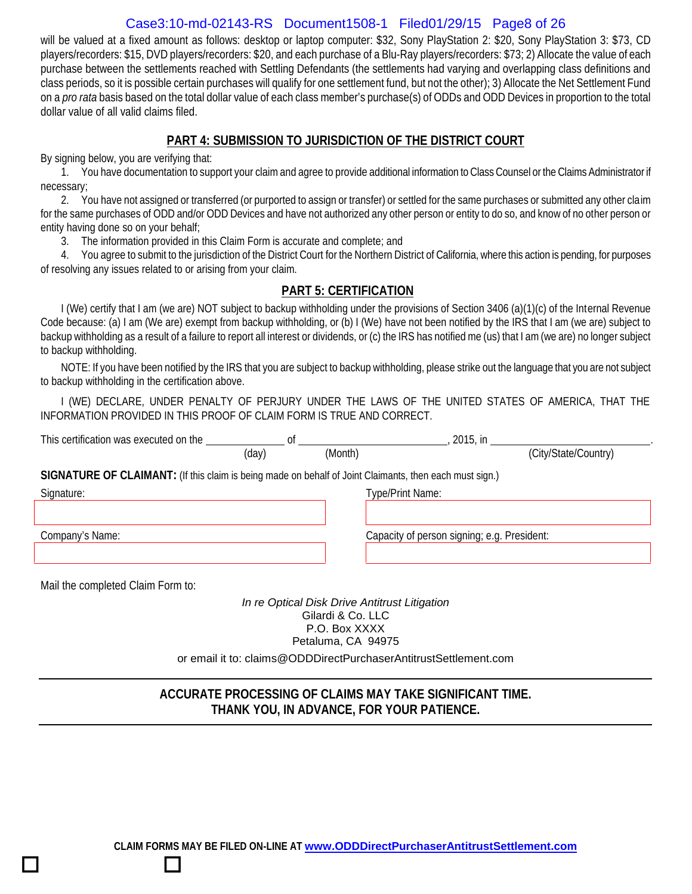#### Case3:10-md-02143-RS Document1508-1 Filed01/29/15 Page8 of 26

will be valued at a fixed amount as follows: desktop or laptop computer: \$32, Sony PlayStation 2: \$20, Sony PlayStation 3: \$73, CD players/recorders: \$15, DVD players/recorders: \$20, and each purchase of a Blu-Ray players/recorders: \$73; 2) Allocate the value of each purchase between the settlements reached with Settling Defendants (the settlements had varying and overlapping class definitions and class periods, so it is possible certain purchases will qualify for one settlement fund, but not the other); 3) Allocate the Net Settlement Fund on a *pro rata* basis based on the total dollar value of each class member's purchase(s) of ODDs and ODD Devices in proportion to the total dollar value of all valid claims filed.

#### **PART 4: SUBMISSION TO JURISDICTION OF THE DISTRICT COURT**

By signing below, you are verifying that:

1. You have documentation to support your claim and agree to provide additional information to Class Counsel or the Claims Administrator if necessary;

2. You have not assigned or transferred (or purported to assign or transfer) or settled for the same purchases or submitted any other claim for the same purchases of ODD and/or ODD Devices and have not authorized any other person or entity to do so, and know of no other person or entity having done so on your behalf;

3. The information provided in this Claim Form is accurate and complete; and

4. You agree to submit to the jurisdiction of the District Court for the Northern District of California, where this action is pending, for purposes of resolving any issues related to or arising from your claim.

#### **PART 5: CERTIFICATION**

I (We) certify that I am (we are) NOT subject to backup withholding under the provisions of Section 3406 (a)(1)(c) of the Internal Revenue Code because: (a) I am (We are) exempt from backup withholding, or (b) I (We) have not been notified by the IRS that I am (we are) subject to backup withholding as a result of a failure to report all interest or dividends, or (c) the IRS has notified me (us) that I am (we are) no longer subject to backup withholding.

NOTE: If you have been notified by the IRS that you are subject to backup withholding, please strike out the language that you are not subject to backup withholding in the certification above.

I (WE) DECLARE, UNDER PENALTY OF PERJURY UNDER THE LAWS OF THE UNITED STATES OF AMERICA, THAT THE INFORMATION PROVIDED IN THIS PROOF OF CLAIM FORM IS TRUE AND CORRECT.

| This certification was executed on the                                                                  | 0t    |         |                                             |  |  |  |  |  |  |  |
|---------------------------------------------------------------------------------------------------------|-------|---------|---------------------------------------------|--|--|--|--|--|--|--|
|                                                                                                         | (day) | (Month) | (City/State/Country)                        |  |  |  |  |  |  |  |
| SIGNATURE OF CLAIMANT: (If this claim is being made on behalf of Joint Claimants, then each must sign.) |       |         |                                             |  |  |  |  |  |  |  |
| Signature:                                                                                              |       |         | Type/Print Name:                            |  |  |  |  |  |  |  |
|                                                                                                         |       |         |                                             |  |  |  |  |  |  |  |
| Company's Name:                                                                                         |       |         | Capacity of person signing; e.g. President: |  |  |  |  |  |  |  |
|                                                                                                         |       |         |                                             |  |  |  |  |  |  |  |
|                                                                                                         |       |         |                                             |  |  |  |  |  |  |  |

Mail the completed Claim Form to:

 $\Box$  and  $\Box$  and  $\Box$  and  $\Box$  and  $\Box$  and  $\Box$  and  $\Box$  and  $\Box$  and  $\Box$  and  $\Box$  and  $\Box$  and  $\Box$  and  $\Box$  and  $\Box$  and  $\Box$  and  $\Box$  and  $\Box$  and  $\Box$  and  $\Box$  and  $\Box$  and  $\Box$  and  $\Box$  and  $\Box$  and  $\Box$  and  $\Box$ 

*In re Optical Disk Drive Antitrust Litigation* Gilardi & Co. LLC P.O. Box XXXX Petaluma, CA 94975

or email it to: claims@ODDDirectPurchaserAntitrustSettlement.com

#### **ACCURATE PROCESSING OF CLAIMS MAY TAKE SIGNIFICANT TIME. THANK YOU, IN ADVANCE, FOR YOUR PATIENCE.**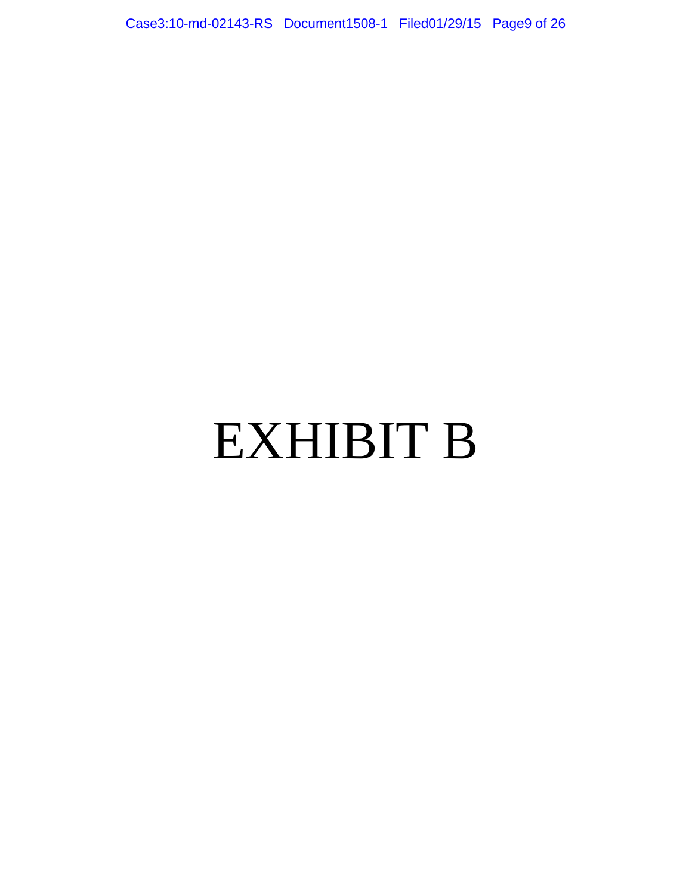Case3:10-md-02143-RS Document1508-1 Filed01/29/15 Page9 of 26

# EXHIBIT B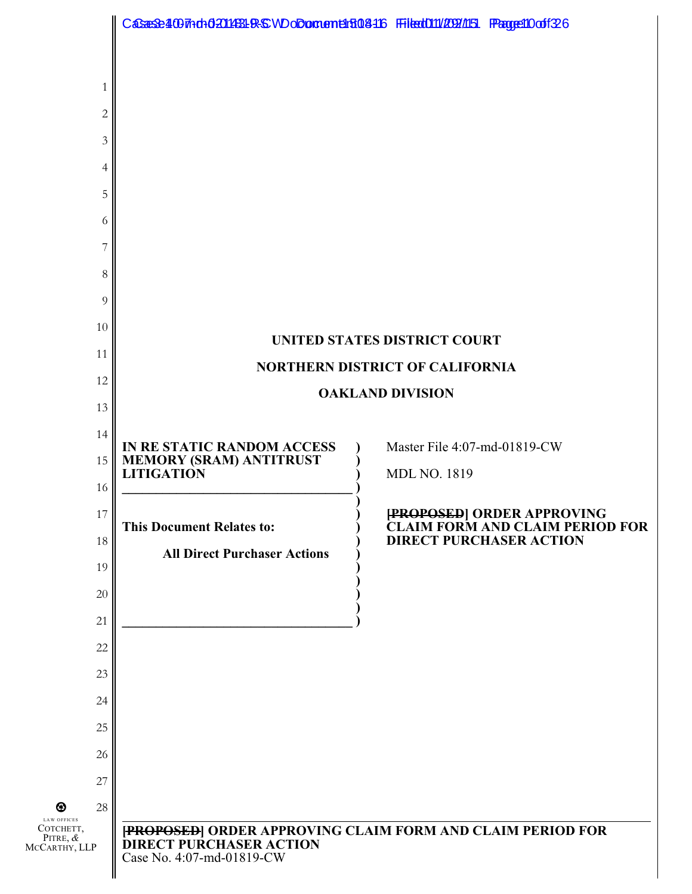|                                                          | CaSaeSe4007hdh0201453LR+SWDoDoment41508416 FFileat010/209/1151 FPagge110off26 |                                                                          |  |  |  |  |  |  |  |  |
|----------------------------------------------------------|-------------------------------------------------------------------------------|--------------------------------------------------------------------------|--|--|--|--|--|--|--|--|
|                                                          |                                                                               |                                                                          |  |  |  |  |  |  |  |  |
| 1                                                        |                                                                               |                                                                          |  |  |  |  |  |  |  |  |
| $\overline{2}$                                           |                                                                               |                                                                          |  |  |  |  |  |  |  |  |
| 3                                                        |                                                                               |                                                                          |  |  |  |  |  |  |  |  |
| 4                                                        |                                                                               |                                                                          |  |  |  |  |  |  |  |  |
| 5                                                        |                                                                               |                                                                          |  |  |  |  |  |  |  |  |
| 6                                                        |                                                                               |                                                                          |  |  |  |  |  |  |  |  |
| 7                                                        |                                                                               |                                                                          |  |  |  |  |  |  |  |  |
| 8                                                        |                                                                               |                                                                          |  |  |  |  |  |  |  |  |
| 9<br>10                                                  |                                                                               |                                                                          |  |  |  |  |  |  |  |  |
| 11                                                       |                                                                               | UNITED STATES DISTRICT COURT                                             |  |  |  |  |  |  |  |  |
| 12                                                       |                                                                               | <b>NORTHERN DISTRICT OF CALIFORNIA</b>                                   |  |  |  |  |  |  |  |  |
| 13                                                       |                                                                               | <b>OAKLAND DIVISION</b>                                                  |  |  |  |  |  |  |  |  |
| 14                                                       |                                                                               |                                                                          |  |  |  |  |  |  |  |  |
| 15                                                       | IN RE STATIC RANDOM ACCESS<br>MEMORY (SRAM) ANTITRUST<br>LITIGATION           | Master File 4:07-md-01819-CW                                             |  |  |  |  |  |  |  |  |
| 16                                                       |                                                                               | <b>MDL NO. 1819</b>                                                      |  |  |  |  |  |  |  |  |
| 17                                                       |                                                                               | [PROPOSED] ORDER APPROVING                                               |  |  |  |  |  |  |  |  |
| 18                                                       | <b>This Document Relates to:</b><br><b>All Direct Purchaser Actions</b>       | <b>CLAIM FORM AND CLAIM PERIOD FOR</b><br><b>DIRECT PURCHASER ACTION</b> |  |  |  |  |  |  |  |  |
| 19                                                       |                                                                               |                                                                          |  |  |  |  |  |  |  |  |
| 20                                                       |                                                                               |                                                                          |  |  |  |  |  |  |  |  |
| 21                                                       |                                                                               |                                                                          |  |  |  |  |  |  |  |  |
| 22                                                       |                                                                               |                                                                          |  |  |  |  |  |  |  |  |
| 23                                                       |                                                                               |                                                                          |  |  |  |  |  |  |  |  |
| 24                                                       |                                                                               |                                                                          |  |  |  |  |  |  |  |  |
| 25                                                       |                                                                               |                                                                          |  |  |  |  |  |  |  |  |
| 26<br>27                                                 |                                                                               |                                                                          |  |  |  |  |  |  |  |  |
| 28<br>⊕                                                  |                                                                               |                                                                          |  |  |  |  |  |  |  |  |
| LAW OFFICES<br>Сотснетт,<br>PITRE, $\&$<br>MCCARTHY, LLP | <b>DIRECT PURCHASER ACTION</b><br>Case No. 4:07-md-01819-CW                   | [PROPOSED] ORDER APPROVING CLAIM FORM AND CLAIM PERIOD FOR               |  |  |  |  |  |  |  |  |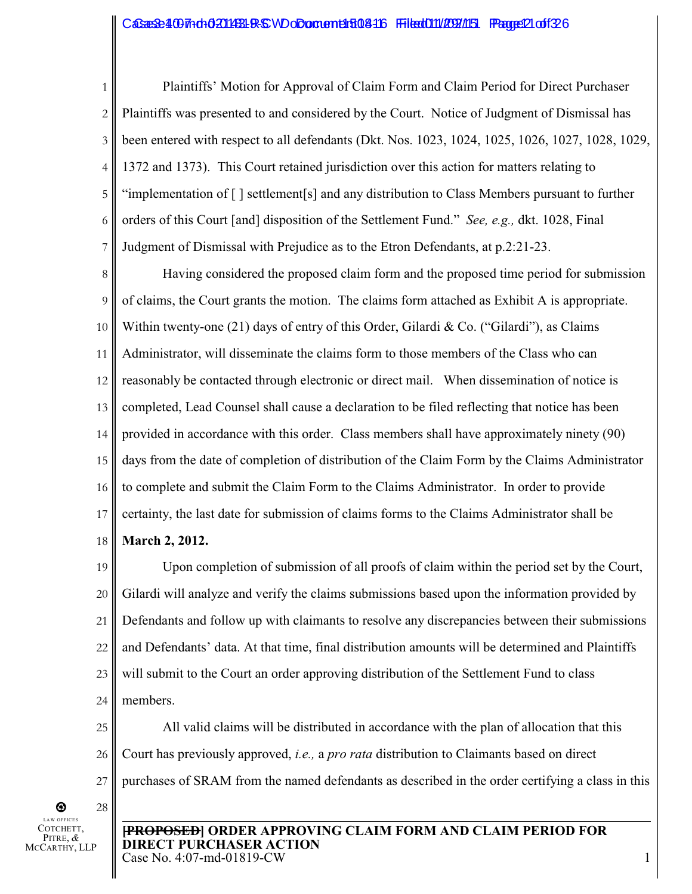1 2 3 4 5 6 7 Plaintiffs' Motion for Approval of Claim Form and Claim Period for Direct Purchaser Plaintiffs was presented to and considered by the Court. Notice of Judgment of Dismissal has been entered with respect to all defendants (Dkt. Nos. 1023, 1024, 1025, 1026, 1027, 1028, 1029, 1372 and 1373). This Court retained jurisdiction over this action for matters relating to "implementation of [ ] settlement[s] and any distribution to Class Members pursuant to further orders of this Court [and] disposition of the Settlement Fund." *See, e.g.,* dkt. 1028, Final Judgment of Dismissal with Prejudice as to the Etron Defendants, at p.2:21-23.

8 9 10 11 12 13 14 15 16 17 18 Having considered the proposed claim form and the proposed time period for submission of claims, the Court grants the motion. The claims form attached as Exhibit A is appropriate. Within twenty-one  $(21)$  days of entry of this Order, Gilardi & Co. ("Gilardi"), as Claims Administrator, will disseminate the claims form to those members of the Class who can reasonably be contacted through electronic or direct mail. When dissemination of notice is completed, Lead Counsel shall cause a declaration to be filed reflecting that notice has been provided in accordance with this order. Class members shall have approximately ninety (90) days from the date of completion of distribution of the Claim Form by the Claims Administrator to complete and submit the Claim Form to the Claims Administrator. In order to provide certainty, the last date for submission of claims forms to the Claims Administrator shall be **March 2, 2012.** 

19 20 21 22 23 24 Upon completion of submission of all proofs of claim within the period set by the Court, Gilardi will analyze and verify the claims submissions based upon the information provided by Defendants and follow up with claimants to resolve any discrepancies between their submissions and Defendants' data. At that time, final distribution amounts will be determined and Plaintiffs will submit to the Court an order approving distribution of the Settlement Fund to class members.

25 26 27 All valid claims will be distributed in accordance with the plan of allocation that this Court has previously approved, *i.e.,* a *pro rata* distribution to Claimants based on direct purchases of SRAM from the named defendants as described in the order certifying a class in this

 $^\circledR$ O FFICES COTCHETT, PITRE, *&* MCCARTHY, LLP 28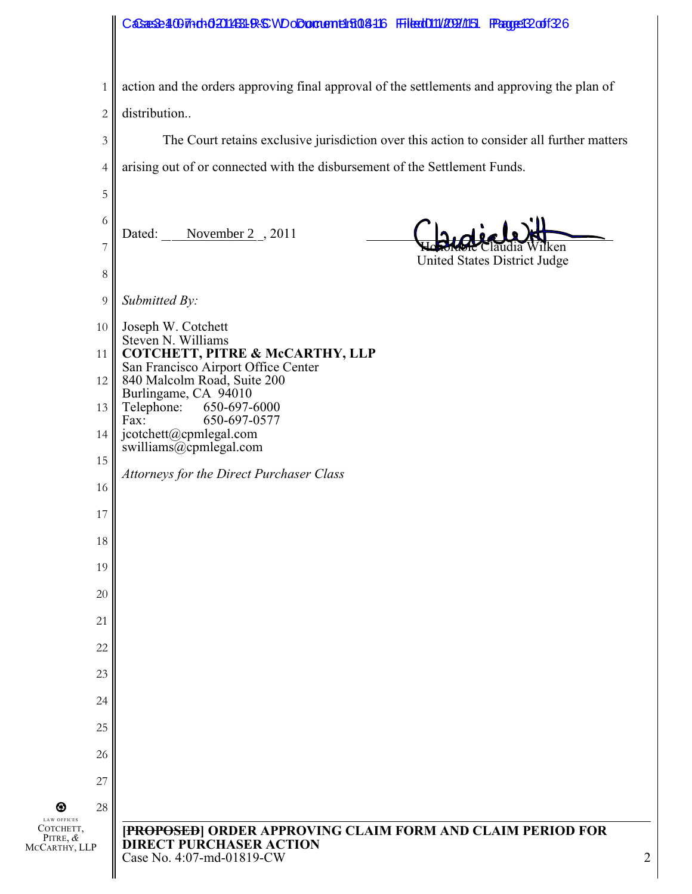| 1                                      | action and the orders approving final approval of the settlements and approving the plan of                                    |
|----------------------------------------|--------------------------------------------------------------------------------------------------------------------------------|
| $\mathbf{2}$                           | distribution                                                                                                                   |
| $\mathfrak{Z}$                         | The Court retains exclusive jurisdiction over this action to consider all further matters                                      |
| $\overline{4}$                         | arising out of or connected with the disbursement of the Settlement Funds.                                                     |
| 5                                      |                                                                                                                                |
| 6                                      | November $2, 2011$<br>Dated:                                                                                                   |
| $\overline{7}$                         | 1 ken<br>United States District Judge                                                                                          |
| $8\,$                                  |                                                                                                                                |
| 9                                      | Submitted By:                                                                                                                  |
| 10                                     | Joseph W. Cotchett<br>Steven N. Williams                                                                                       |
| 11                                     | COTCHETT, PITRE & McCARTHY, LLP<br>San Francisco Airport Office Center                                                         |
| 12                                     | 840 Malcolm Road, Suite 200<br>Burlingame, CA 94010                                                                            |
| 13                                     | Telephone:<br>650-697-6000<br>650-697-0577<br>Fax:                                                                             |
| 14                                     | jcotchett@cpmlegal.com<br>swilliams@cpmlegal.com                                                                               |
| 15                                     | Attorneys for the Direct Purchaser Class                                                                                       |
| 16                                     |                                                                                                                                |
| 17                                     |                                                                                                                                |
| 18                                     |                                                                                                                                |
| 19                                     |                                                                                                                                |
| 20                                     |                                                                                                                                |
| 21                                     |                                                                                                                                |
| 22                                     |                                                                                                                                |
| 23                                     |                                                                                                                                |
| 24                                     |                                                                                                                                |
| 25                                     |                                                                                                                                |
| 26                                     |                                                                                                                                |
| 27                                     |                                                                                                                                |
| 28<br>❸<br><b>LAW OFFICES</b>          |                                                                                                                                |
| Сотснетт,<br>PITRE, &<br>MCCARTHY, LLP | [PROPOSED] ORDER APPROVING CLAIM FORM AND CLAIM PERIOD FOR<br><b>DIRECT PURCHASER ACTION</b><br>Case No. 4:07-md-01819-CW<br>2 |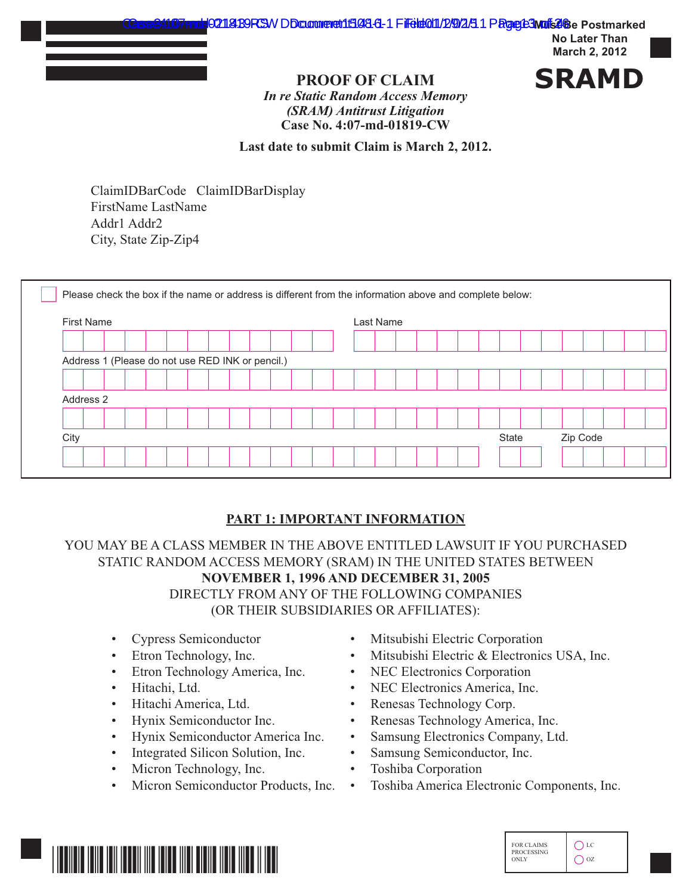

## **PROOF OF CLAIM SRAMD**

*In re Static Random Access Memory (SRAM) Antitrust Litigation* **Case No. 4:07-md-01819-CW**

**Last date to submit Claim is March 2, 2012.**

ClaimIDBarCode ClaimIDBarDisplay FirstName LastName Addr1 Addr2 City, State Zip-Zip4

| <b>First Name</b>                                |  |  |  |  |  | Last Name |  |  |  |  |  |  |       |  |  |          |  |  |
|--------------------------------------------------|--|--|--|--|--|-----------|--|--|--|--|--|--|-------|--|--|----------|--|--|
|                                                  |  |  |  |  |  |           |  |  |  |  |  |  |       |  |  |          |  |  |
| Address 1 (Please do not use RED INK or pencil.) |  |  |  |  |  |           |  |  |  |  |  |  |       |  |  |          |  |  |
|                                                  |  |  |  |  |  |           |  |  |  |  |  |  |       |  |  |          |  |  |
| Address 2                                        |  |  |  |  |  |           |  |  |  |  |  |  |       |  |  |          |  |  |
|                                                  |  |  |  |  |  |           |  |  |  |  |  |  |       |  |  |          |  |  |
| City                                             |  |  |  |  |  |           |  |  |  |  |  |  | State |  |  | Zip Code |  |  |

#### **PART 1: IMPORTANT INFORMATION**

YOU MAY BE A CLASS MEMBER IN THE ABOVE ENTITLED LAWSUIT IF YOU PURCHASED STATIC RANDOM ACCESS MEMORY (SRAM) IN THE UNITED STATES BETWEEN **NOVEMBER 1, 1996 AND DECEMBER 31, 2005**  DIRECTLY FROM ANY OF THE FOLLOWING COMPANIES (OR THEIR SUBSIDIARIES OR AFFILIATES):

- Cypress Semiconductor
- Etron Technology, Inc.
- Etron Technology America, Inc.
- Hitachi, Ltd.
- Hitachi America, Ltd.
- Hynix Semiconductor Inc.
- Hynix Semiconductor America Inc.
- Integrated Silicon Solution, Inc.
- Micron Technology, Inc.
- Micron Semiconductor Products, Inc.
- Mitsubishi Electric Corporation
- Mitsubishi Electric & Electronics USA, Inc.
- NEC Electronics Corporation
- NEC Electronics America, Inc.
- Renesas Technology Corp.
- Renesas Technology America, Inc.
- Samsung Electronics Company, Ltd.
- Samsung Semiconductor, Inc.
- Toshiba Corporation
- Toshiba America Electronic Components, Inc.



| <b>FOR CLAIMS</b><br><b>PROCESSING</b><br><b>ONLY</b> | T.C<br>07 |
|-------------------------------------------------------|-----------|
|-------------------------------------------------------|-----------|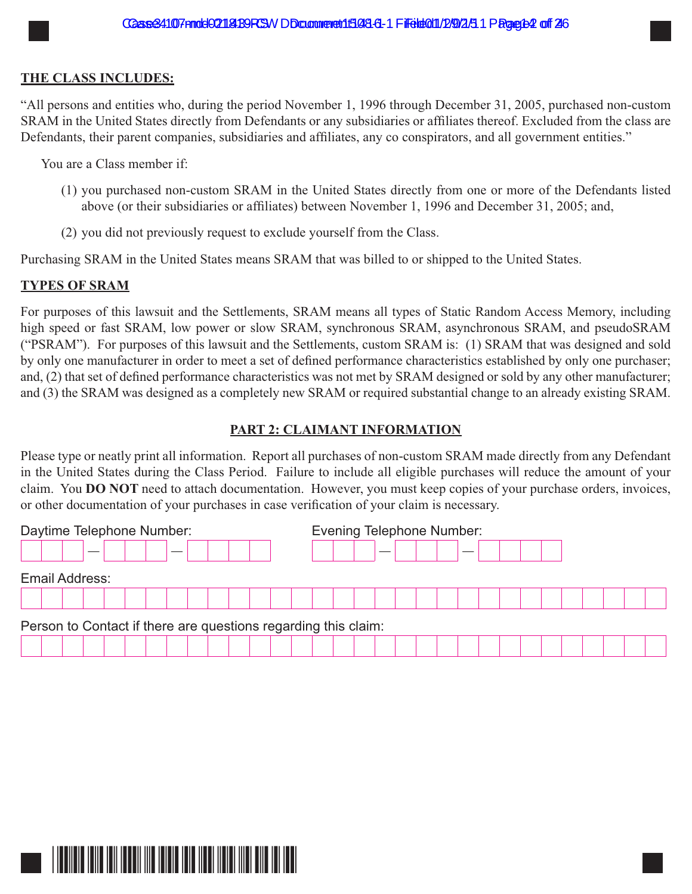#### **THE CLASS INCLUDES:**

"All persons and entities who, during the period November 1, 1996 through December 31, 2005, purchased non-custom SRAM in the United States directly from Defendants or any subsidiaries or affiliates thereof. Excluded from the class are Defendants, their parent companies, subsidiaries and affiliates, any co conspirators, and all government entities."

You are a Class member if:

- (1) you purchased non-custom SRAM in the United States directly from one or more of the Defendants listed above (or their subsidiaries or affiliates) between November 1, 1996 and December 31, 2005; and,
- (2) you did not previously request to exclude yourself from the Class.

Purchasing SRAM in the United States means SRAM that was billed to or shipped to the United States.

#### **TYPES OF SRAM**

For purposes of this lawsuit and the Settlements, SRAM means all types of Static Random Access Memory, including high speed or fast SRAM, low power or slow SRAM, synchronous SRAM, asynchronous SRAM, and pseudoSRAM ("PSRAM"). For purposes of this lawsuit and the Settlements, custom SRAM is: (1) SRAM that was designed and sold by only one manufacturer in order to meet a set of defined performance characteristics established by only one purchaser; and, (2) that set of defined performance characteristics was not met by SRAM designed or sold by any other manufacturer; and (3) the SRAM was designed as a completely new SRAM or required substantial change to an already existing SRAM.

#### PART 2: CLAIMANT INFORMATION

Please type or neatly print all information. Report all purchases of non-custom SRAM made directly from any Defendant in the United States during the Class Period. Failure to include all eligible purchases will reduce the amount of your claim. You DO NOT need to attach documentation. However, you must keep copies of your purchase orders, invoices, or other documentation of your purchases in case verification of your claim is necessary.

| Daytime Telephone Number:                                      | <b>Evening Telephone Number:</b> |  |  |  |  |  |  |  |  |  |  |  |  |  |
|----------------------------------------------------------------|----------------------------------|--|--|--|--|--|--|--|--|--|--|--|--|--|
|                                                                |                                  |  |  |  |  |  |  |  |  |  |  |  |  |  |
| <b>Email Address:</b>                                          |                                  |  |  |  |  |  |  |  |  |  |  |  |  |  |
|                                                                |                                  |  |  |  |  |  |  |  |  |  |  |  |  |  |
| Person to Contact if there are questions regarding this claim: |                                  |  |  |  |  |  |  |  |  |  |  |  |  |  |
|                                                                |                                  |  |  |  |  |  |  |  |  |  |  |  |  |  |

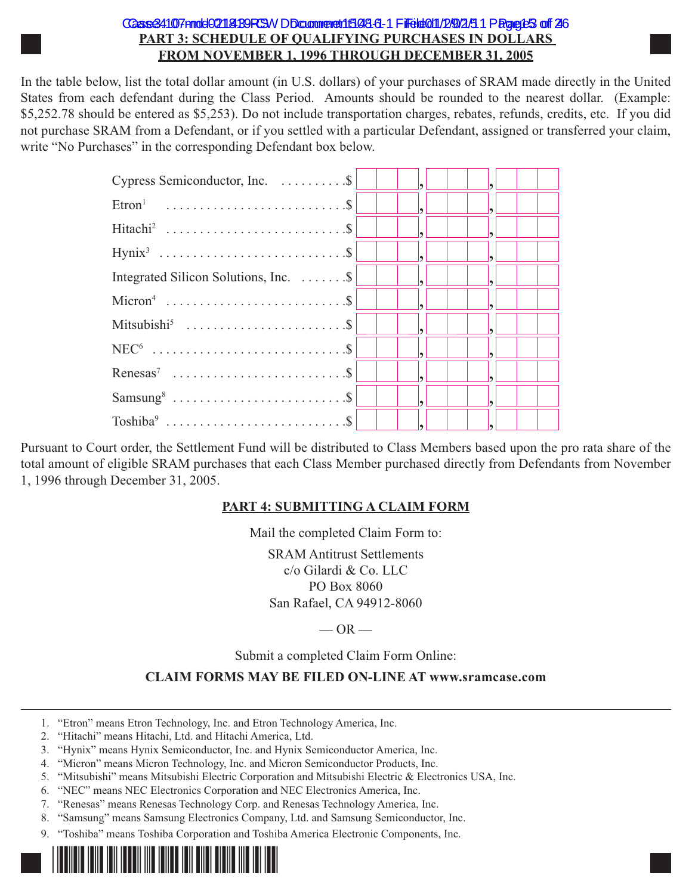#### CGase34107nndd021181B9RSWDDcaanmend1508.6-1 Fifeld011/2/9/2/51 PRgee125 off 26 **PART 3: SCHEDULE OF QUALIFYING PURCHASES IN DOLLARS** FROM NOVEMBER 1, 1996 THROUGH DECEMBER 31, 2005

In the table below, list the total dollar amount (in U.S. dollars) of your purchases of SRAM made directly in the United States from each defendant during the Class Period. Amounts should be rounded to the nearest dollar. (Example: \$5,252.78 should be entered as \$5,253). Do not include transportation charges, rebates, refunds, credits, etc. If you did not purchase SRAM from a Defendant, or if you settled with a particular Defendant, assigned or transferred your claim, write "No Purchases" in the corresponding Defendant box below.

| $Cypress$ Semiconductor, Inc. $\dots \dots \dots$ $\ $              |  |  |
|---------------------------------------------------------------------|--|--|
|                                                                     |  |  |
|                                                                     |  |  |
|                                                                     |  |  |
| Integrated Silicon Solutions, Inc. $\dots \dots \dots$ $\mathbb{S}$ |  |  |
|                                                                     |  |  |
| Mitsubishi <sup>5</sup> \$                                          |  |  |
|                                                                     |  |  |
|                                                                     |  |  |
|                                                                     |  |  |
|                                                                     |  |  |

Pursuant to Court order, the Settlement Fund will be distributed to Class Members based upon the pro rata share of the total amount of eligible SRAM purchases that each Class Member purchased directly from Defendants from November 1, 1996 through December 31, 2005.

#### **PART 4: SUBMITTING A CLAIM FORM**

Mail the completed Claim Form to:

**SRAM Antitrust Settlements** c/o Gilardi & Co. LLC PO Box 8060 San Rafael, CA 94912-8060

 $-OR-$ 

Submit a completed Claim Form Online:

#### **CLAIM FORMS MAY BE FILED ON-LINE AT www.sramcase.com**

- 1. "Etron" means Etron Technology, Inc. and Etron Technology America, Inc.
- 2. "Hitachi" means Hitachi, Ltd. and Hitachi America, Ltd.
- 3. "Hynix" means Hynix Semiconductor, Inc. and Hynix Semiconductor America, Inc.
- 4. "Micron" means Micron Technology, Inc. and Micron Semiconductor Products, Inc.
- 5. "Mitsubishi" means Mitsubishi Electric Corporation and Mitsubishi Electric & Electronics USA, Inc.
- 6. "NEC" means NEC Electronics Corporation and NEC Electronics America, Inc.
- 7. "Renesas" means Renesas Technology Corp. and Renesas Technology America, Inc.
- 8. "Samsung" means Samsung Electronics Company, Ltd. and Samsung Semiconductor, Inc.
- 9. "Toshiba" means Toshiba Corporation and Toshiba America Electronic Components, Inc.

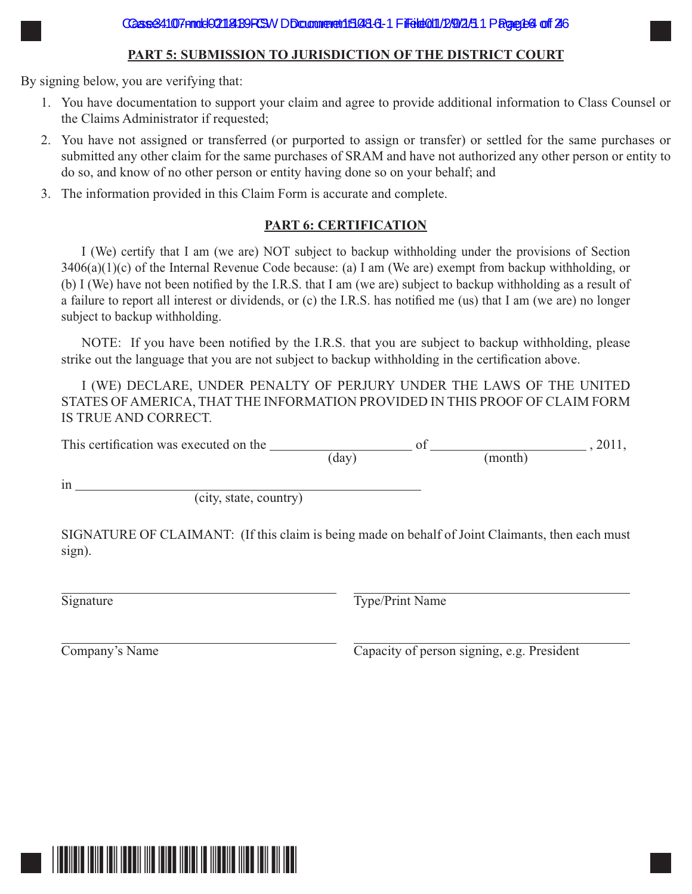#### **PART 5: SUBMISSION TO JURISDICTION OF THE DISTRICT COURT**

By signing below, you are verifying that:

- 1. You have documentation to support your claim and agree to provide additional information to Class Counsel or the Claims Administrator if requested;
- 2. You have not assigned or transferred (or purported to assign or transfer) or settled for the same purchases or submitted any other claim for the same purchases of SRAM and have not authorized any other person or entity to do so, and know of no other person or entity having done so on your behalf; and
- 3. The information provided in this Claim Form is accurate and complete.

#### **PART 6: CERTIFICATION**

I (We) certify that I am (we are) NOT subject to backup withholding under the provisions of Section  $3406(a)(1)(c)$  of the Internal Revenue Code because: (a) I am (We are) exempt from backup withholding, or (b) I (We) have not been notified by the I.R.S. that I am (we are) subject to backup withholding as a result of a failure to report all interest or dividends, or (c) the I.R.S. has notified me (us) that I am (we are) no longer subject to backup withholding.

NOTE: If you have been notified by the I.R.S. that you are subject to backup withholding, please strike out the language that you are not subject to backup withholding in the certification above.

I (WE) DECLARE, UNDER PENALTY OF PERJURY UNDER THE LAWS OF THE UNITED STATES OF AMERICA, THAT THE INFORMATION PROVIDED IN THIS PROOF OF CLAIM FORM IS TRUE AND CORRECT.

This certification was executed on the  $\frac{1}{2}$  of  $\frac{1}{2}$  of  $\frac{1}{2}$ , 2011,  $(\text{day})$  (month)

 $in$ 

 $\overline{\text{(city, state, country)}}$ 

SIGNATURE OF CLAIMANT: (If this claim is being made on behalf of Joint Claimants, then each must sign).

Signature Type/Print Name

 $\overline{Compary}$ 's Name  $\overline{Capacity}$  of person signing, e.g. President

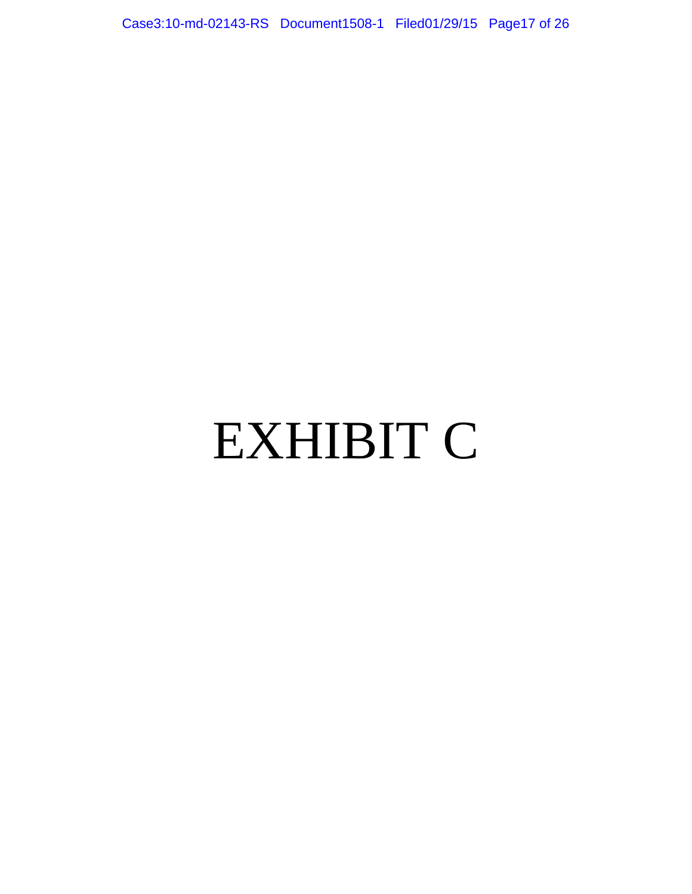Case3:10-md-02143-RS Document1508-1 Filed01/29/15 Page17 of 26

# EXHIBIT C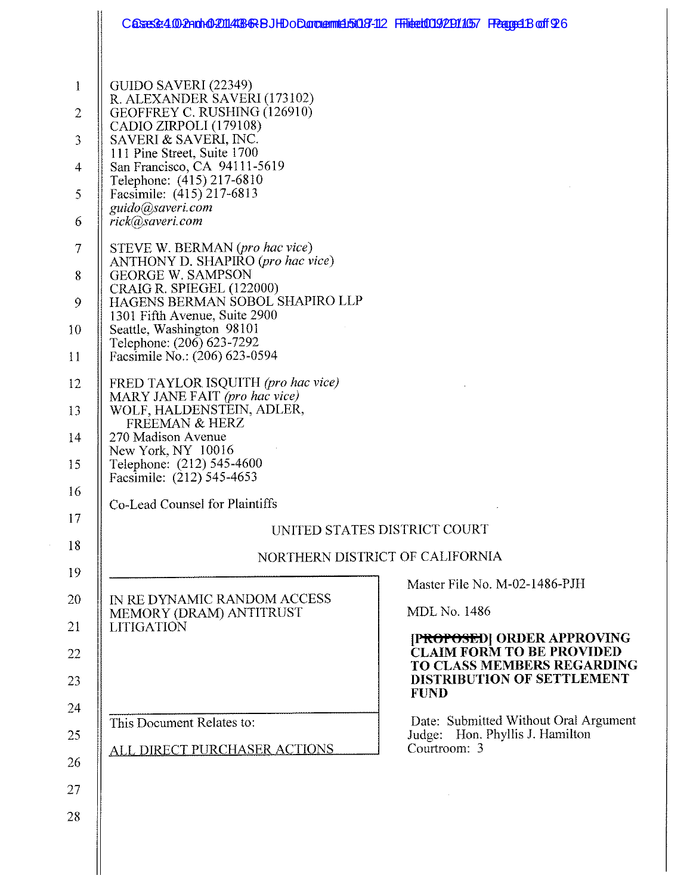|                                                                                                 | Casasse 4.00 2nd hol 2014/03/68 BJHD o Dana annida 5087-112 FHitlet009/2011/057 FReaged Boff 926                                                                                                                                                                                                                                                                                                                                                                                                                                                                                                       |                                                                                                                    |
|-------------------------------------------------------------------------------------------------|--------------------------------------------------------------------------------------------------------------------------------------------------------------------------------------------------------------------------------------------------------------------------------------------------------------------------------------------------------------------------------------------------------------------------------------------------------------------------------------------------------------------------------------------------------------------------------------------------------|--------------------------------------------------------------------------------------------------------------------|
| $\mathbf{1}$<br>$\overline{c}$<br>3<br>$\overline{4}$<br>5<br>6<br>$\tau$<br>8<br>9<br>10<br>11 | GUIDO SAVERI (22349)<br>R. ALEXANDER SAVERI (173102)<br>GEOFFREY C. RUSHING (126910)<br>CADIO ZIRPOLI (179108)<br>SAVERI & SAVERI, INC.<br>111 Pine Street, Suite 1700<br>San Francisco, CA 94111-5619<br>Telephone: (415) 217-6810<br>Facsimile: (415) 217-6813<br>guido@saveri.com<br>rick@saveri.com<br>STEVE W. BERMAN (pro hac vice)<br>ANTHONY D. SHAPIRO (pro hac vice)<br><b>GEORGE W. SAMPSON</b><br>CRAIG R. SPIEGEL (122000)<br>HAGENS BERMAN SOBOL SHAPIRO LLP<br>1301 Fifth Avenue, Suite 2900<br>Seattle, Washington 98101<br>Telephone: (206) 623-7292<br>Facsimile No.: (206) 623-0594 |                                                                                                                    |
| 12<br>13<br>14<br>15<br>16<br>17                                                                | FRED TAYLOR ISQUITH (pro hac vice)<br>MARY JANE FAIT (pro hac vice)<br>WOLF, HALDENSTEIN, ADLER,<br>FREEMAN & HERZ<br>270 Madison Avenue<br>New York, NY 10016<br>Telephone: (212) 545-4600<br>Facsimile: (212) 545-4653<br>Co-Lead Counsel for Plaintiffs                                                                                                                                                                                                                                                                                                                                             |                                                                                                                    |
|                                                                                                 |                                                                                                                                                                                                                                                                                                                                                                                                                                                                                                                                                                                                        | UNITED STATES DISTRICT COURT                                                                                       |
| 18                                                                                              |                                                                                                                                                                                                                                                                                                                                                                                                                                                                                                                                                                                                        | NORTHERN DISTRICT OF CALIFORNIA                                                                                    |
| 19<br>20<br>21                                                                                  | <b>IN RE DYNAMIC RANDOM ACCESS</b><br>MEMORY (DRAM) ANTITRUST<br><b>LITIGATION</b>                                                                                                                                                                                                                                                                                                                                                                                                                                                                                                                     | Master File No. M-02-1486-PJH<br><b>MDL No. 1486</b><br>[P <del>ROPOSE</del> D] ORDER APPROVING                    |
| 22<br>23                                                                                        |                                                                                                                                                                                                                                                                                                                                                                                                                                                                                                                                                                                                        | <b>CLAIM FORM TO BE PROVIDED</b><br>TO CLASS MEMBERS REGARDING<br><b>DISTRIBUTION OF SETTLEMENT</b><br><b>FUND</b> |
| 24<br>25<br>26<br>27<br>28                                                                      | This Document Relates to:<br>ALL DIRECT PURCHASER ACTIONS                                                                                                                                                                                                                                                                                                                                                                                                                                                                                                                                              | Date: Submitted Without Oral Argument<br>Judge: Hon. Phyllis J. Hamilton<br>Courtroom: 3                           |
|                                                                                                 |                                                                                                                                                                                                                                                                                                                                                                                                                                                                                                                                                                                                        |                                                                                                                    |

 $\frac{1}{2}$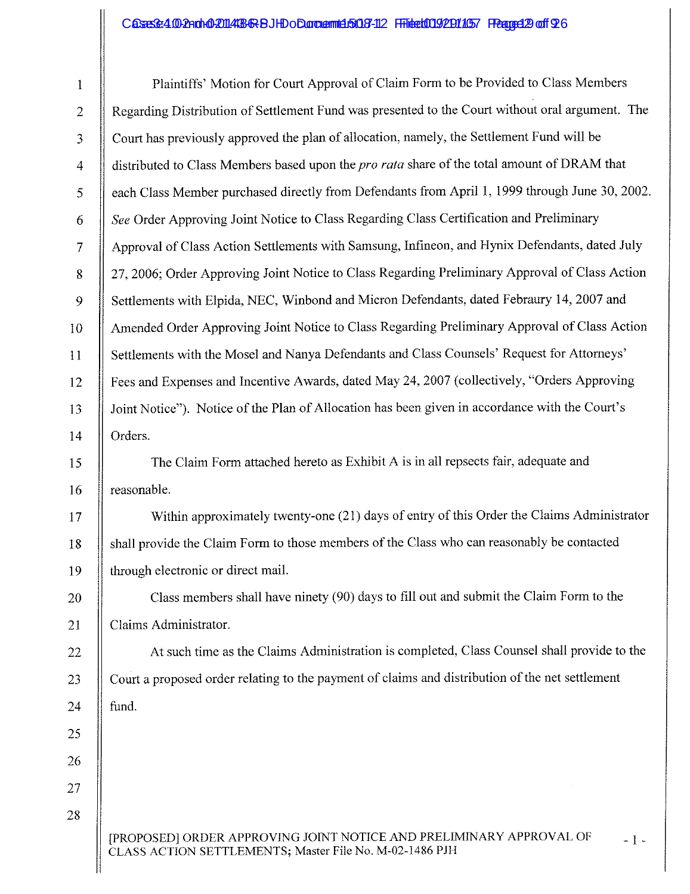## Cases:3:4002ndr02014136RBJHDoCundemt4503-12 Filed009/2011057 FRage429 of 926

 $\mathbf{\mathcal{H}}$ 

| 1                | Plaintiffs' Motion for Court Approval of Claim Form to be Provided to Class Members                                                     |
|------------------|-----------------------------------------------------------------------------------------------------------------------------------------|
| $\mathbf 2$      | Regarding Distribution of Settlement Fund was presented to the Court without oral argument. The                                         |
| 3                | Court has previously approved the plan of allocation, namely, the Settlement Fund will be                                               |
| $\overline{4}$   | distributed to Class Members based upon the pro rata share of the total amount of DRAM that                                             |
| 5                | each Class Member purchased directly from Defendants from April 1, 1999 through June 30, 2002.                                          |
| $\boldsymbol{6}$ | See Order Approving Joint Notice to Class Regarding Class Certification and Preliminary                                                 |
| $\overline{7}$   | Approval of Class Action Settlements with Samsung, Infineon, and Hynix Defendants, dated July                                           |
| $\bf 8$          | 27, 2006; Order Approving Joint Notice to Class Regarding Preliminary Approval of Class Action                                          |
| 9                | Settlements with Elpida, NEC, Winbond and Micron Defendants, dated Febraury 14, 2007 and                                                |
| 10               | Amended Order Approving Joint Notice to Class Regarding Preliminary Approval of Class Action                                            |
| 11               | Settlements with the Mosel and Nanya Defendants and Class Counsels' Request for Attorneys'                                              |
| 12               | Fees and Expenses and Incentive Awards, dated May 24, 2007 (collectively, "Orders Approving                                             |
| 13               | Joint Notice"). Notice of the Plan of Allocation has been given in accordance with the Court's                                          |
| 14               | Orders.                                                                                                                                 |
| 15               | The Claim Form attached hereto as Exhibit A is in all repsects fair, adequate and                                                       |
| 16               | reasonable.                                                                                                                             |
| 17               | Within approximately twenty-one (21) days of entry of this Order the Claims Administrator                                               |
| 18               | shall provide the Claim Form to those members of the Class who can reasonably be contacted                                              |
| 19               | through electronic or direct mail.                                                                                                      |
| 20               | Class members shall have ninety (90) days to fill out and submit the Claim Form to the                                                  |
| 21               | Claims Administrator.                                                                                                                   |
| 22               | At such time as the Claims Administration is completed, Class Counsel shall provide to the                                              |
| 23               | Court a proposed order relating to the payment of claims and distribution of the net settlement                                         |
| 24               | fund.                                                                                                                                   |
| 25               |                                                                                                                                         |
| 26               |                                                                                                                                         |
| 27               |                                                                                                                                         |
| 28               |                                                                                                                                         |
|                  | [PROPOSED] ORDER APPROVING JOINT NOTICE AND PRELIMINARY APPROVAL OF<br>$-1-$<br>CLASS ACTION SETTLEMENTS; Master File No. M-02-1486 PJH |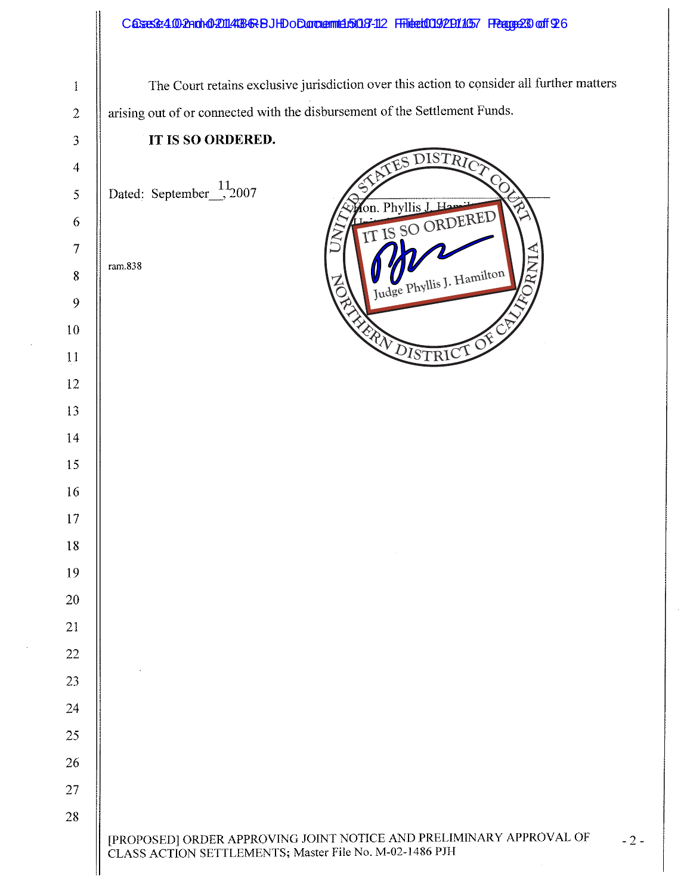|                                                                           | Cases&4.002Andr002014486RBJHDoDandemt4.5t08-112 FFilted0092011057 FRage230 off 926                                             |
|---------------------------------------------------------------------------|--------------------------------------------------------------------------------------------------------------------------------|
|                                                                           |                                                                                                                                |
| $\,1$                                                                     | The Court retains exclusive jurisdiction over this action to consider all further matters                                      |
| $\overline{c}$                                                            | arising out of or connected with the disbursement of the Settlement Funds.                                                     |
| $\mathfrak{Z}$                                                            | IT IS SO ORDERED.                                                                                                              |
| $\overline{4}$                                                            | DISTRICT<br>$\delta$                                                                                                           |
| $\mathfrak{S}% _{M}\left( t\right) \sim\mathfrak{S}_{M}\left( t\right) ,$ | Dated: September $\frac{11}{2007}$<br>$\overleftrightarrow{ }$<br>on. Phyllis J. Hamil                                         |
| 6                                                                         | IT IS SO ORDERED                                                                                                               |
| $\tau$                                                                    | ram.838                                                                                                                        |
| $\bf 8$<br>9                                                              | RNI<br>Judge Phyllis J. Hamilton                                                                                               |
| 10                                                                        |                                                                                                                                |
| 11                                                                        | MENDISTRICT OF                                                                                                                 |
| 12                                                                        |                                                                                                                                |
| 13                                                                        |                                                                                                                                |
| 14                                                                        |                                                                                                                                |
| 15                                                                        |                                                                                                                                |
| 16                                                                        |                                                                                                                                |
| 17                                                                        |                                                                                                                                |
| 18                                                                        |                                                                                                                                |
| 19                                                                        |                                                                                                                                |
| 20                                                                        |                                                                                                                                |
| 21                                                                        |                                                                                                                                |
| 22                                                                        |                                                                                                                                |
| 23                                                                        |                                                                                                                                |
| 24                                                                        |                                                                                                                                |
| 25                                                                        |                                                                                                                                |
| 26                                                                        |                                                                                                                                |
| 27                                                                        |                                                                                                                                |
| 28                                                                        |                                                                                                                                |
|                                                                           | [PROPOSED] ORDER APPROVING JOINT NOTICE AND PRELIMINARY APPROVAL OF<br>CLASS ACTION SETTLEMENTS; Master File No. M-02-1486 PJH |

 $2 -$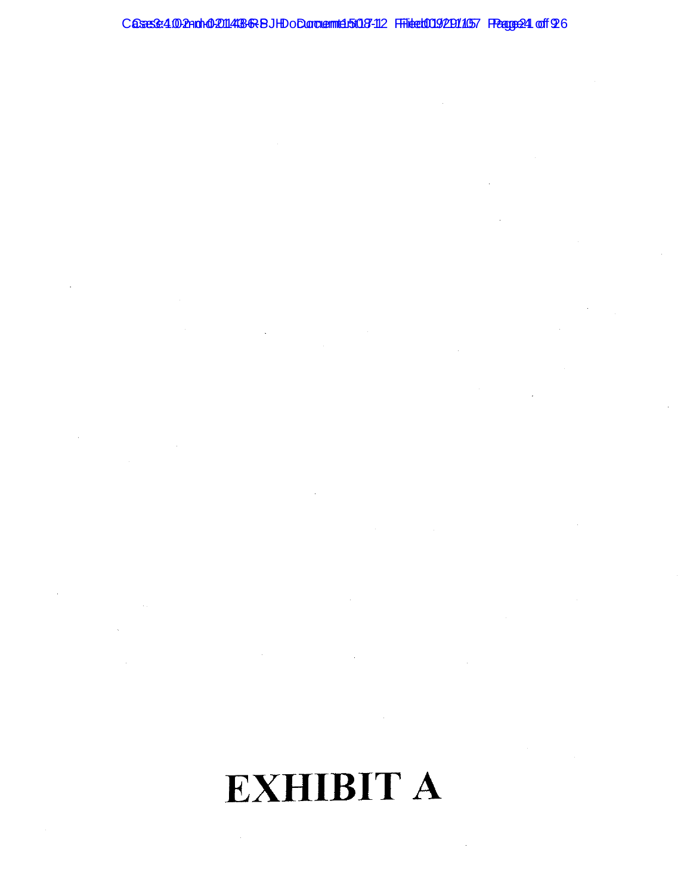#### Casese:4.002noh02014436RBJHDoDoroamt45003-112 Filtet0092911057 FRage24 off 26

 $\hat{\mathcal{A}}$ 

# **EXHIBIT A**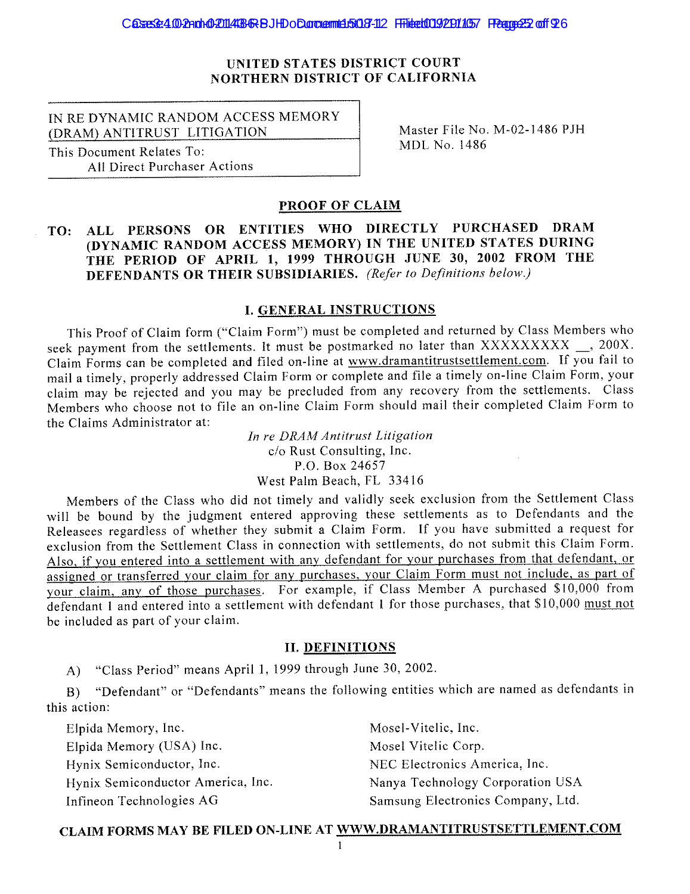#### **IINITED STATES DISTRICT COURT** NORTHERN DISTRICT OF CALIFORNIA

IN RE DYNAMIC RANDOM ACCESS MEMORY (DRAM) ANTITRUST LITIGATION

This Document Relates To: **All Direct Purchaser Actions**  Master File No. M-02-1486 PJH MDL No. 1486

#### PROOF OF CLAIM

#### TO: ALL PERSONS OR ENTITIES WHO DIRECTLY PURCHASED DRAM (DYNAMIC RANDOM ACCESS MEMORY) IN THE UNITED STATES DURING THE PERIOD OF APRIL 1, 1999 THROUGH JUNE 30, 2002 FROM THE DEFENDANTS OR THEIR SUBSIDIARIES. (Refer to Definitions below.)

#### **I. GENERAL INSTRUCTIONS**

This Proof of Claim form ("Claim Form") must be completed and returned by Class Members who seek payment from the settlements. It must be postmarked no later than XXXXXXXXX \_\_, 200X. Claim Forms can be completed and filed on-line at www.dramantitrustsettlement.com. If you fail to mail a timely, properly addressed Claim Form or complete and file a timely on-line Claim Form, your claim may be rejected and you may be precluded from any recovery from the settlements. Class Members who choose not to file an on-line Claim Form should mail their completed Claim Form to the Claims Administrator at:

> In re DRAM Antitrust Litigation c/o Rust Consulting, Inc. P.O. Box 24657 West Palm Beach, FL 33416

Members of the Class who did not timely and validly seek exclusion from the Settlement Class will be bound by the judgment entered approving these settlements as to Defendants and the Releasees regardless of whether they submit a Claim Form. If you have submitted a request for exclusion from the Settlement Class in connection with settlements, do not submit this Claim Form. Also, if you entered into a settlement with any defendant for your purchases from that defendant, or assigned or transferred your claim for any purchases, your Claim Form must not include, as part of your claim, any of those purchases. For example, if Class Member A purchased \$10,000 from defendant 1 and entered into a settlement with defendant 1 for those purchases, that \$10,000 must not be included as part of your claim.

#### **II. DEFINITIONS**

A) "Class Period" means April 1, 1999 through June 30, 2002.

"Defendant" or "Defendants" means the following entities which are named as defendants in  $B$ ) this action:

Elpida Memory, Inc. Elpida Memory (USA) Inc. Hynix Semiconductor, Inc. Hynix Semiconductor America, Inc. Infineon Technologies AG

Mosel-Vitelic, Inc. Mosel Vitelic Corp. NEC Electronics America, Inc. Nanya Technology Corporation USA Samsung Electronics Company, Ltd.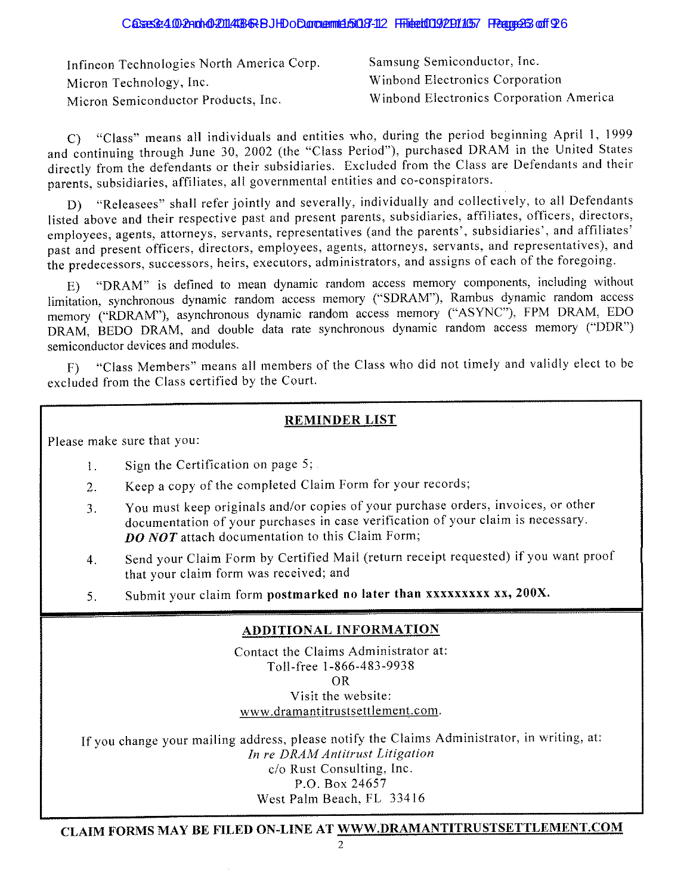#### Casses 4.00 2nd to 2014 38 & BJHD o D.argumd 50 3-112 Fride to 0.9 2014 57 France 3 of 926

| Infineon Technologies North America Corp. | Samsung Semiconductor, Inc.             |
|-------------------------------------------|-----------------------------------------|
| Micron Technology, Inc.                   | Winbond Electronics Corporation         |
| Micron Semiconductor Products, Inc.       | Winbond Electronics Corporation America |

C) "Class" means all individuals and entities who, during the period beginning April 1, 1999 and continuing through June 30, 2002 (the "Class Period"), purchased DRAM in the United States directly from the defendants or their subsidiaries. Excluded from the Class are Defendants and their parents, subsidiaries, affiliates, all governmental entities and co-conspirators.

"Releasees" shall refer jointly and severally, individually and collectively, to all Defendants D) listed above and their respective past and present parents, subsidiaries, affiliates, officers, directors, employees, agents, attorneys, servants, representatives (and the parents', subsidiaries', and affiliates' past and present officers, directors, employees, agents, attorneys, servants, and representatives), and the predecessors, successors, heirs, executors, administrators, and assigns of each of the foregoing.

"DRAM" is defined to mean dynamic random access memory components, including without limitation, synchronous dynamic random access memory ("SDRAM"), Rambus dynamic random access memory ("RDRAM"), asynchronous dynamic random access memory ("ASYNC"), FPM DRAM, EDO DRAM, BEDO DRAM, and double data rate synchronous dynamic random access memory ("DDR") semiconductor devices and modules.

"Class Members" means all members of the Class who did not timely and validly elect to be excluded from the Class certified by the Court.

#### **REMINDER LIST**

Please make sure that you:

- Sign the Certification on page 5;  $\mathfrak{f}$ .
- Keep a copy of the completed Claim Form for your records;  $2<sup>1</sup>$
- You must keep originals and/or copies of your purchase orders, invoices, or other  $3<sup>1</sup>$ documentation of your purchases in case verification of your claim is necessary. **DO NOT** attach documentation to this Claim Form;
- Send your Claim Form by Certified Mail (return receipt requested) if you want proof  $4.$ that your claim form was received; and
- Submit your claim form postmarked no later than xxxxxxxxx xx, 200X. 5.

#### **ADDITIONAL INFORMATION**

Contact the Claims Administrator at: Toll-free 1-866-483-9938  $OR$ Visit the website: www.dramantitrustsettlement.com.

If you change your mailing address, please notify the Claims Administrator, in writing, at: In re DRAM Antitrust Litigation c/o Rust Consulting, Inc. P.O. Box 24657 West Palm Beach, FL 33416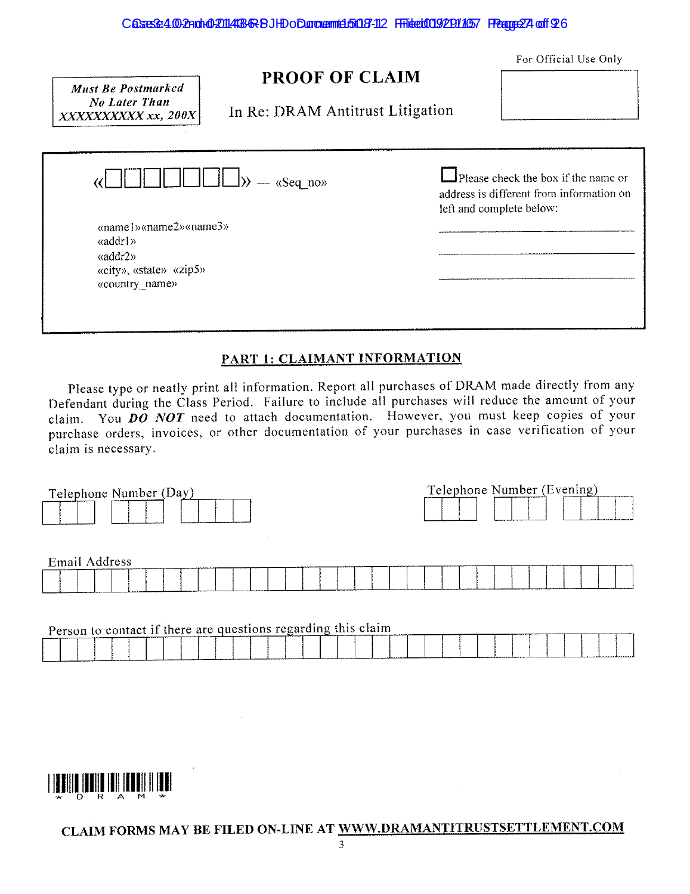For Official Use Only

# PROOF OF CLAIM

**Must Be Postmarked No Later Than** XXXXXXXXXX xx, 200X

In Re: DRAM Antitrust Litigation

| $\gg$ $\sim$ «Seq no»                                                                                            | $\Box$ Please check the box if the name or<br>address is different from information on<br>left and complete below: |
|------------------------------------------------------------------------------------------------------------------|--------------------------------------------------------------------------------------------------------------------|
| «name1» «name2» «name3»<br>«addr1»<br>$\langle \text{addr2} \rangle$<br>«city», «state» «zip5»<br>«country name» |                                                                                                                    |

#### PART 1: CLAIMANT INFORMATION

Please type or neatly print all information. Report all purchases of DRAM made directly from any Defendant during the Class Period. Failure to include all purchases will reduce the amount of your claim. You  $D\ddot{o}$  NOT need to attach documentation. However, you must keep copies of your purchase orders, invoices, or other documentation of your purchases in case verification of your claim is necessary.

| Telephone Number (Day) |  |  |  |  |  |  |  |  | Telephone Number (Evening) |  |  |  |  |  |
|------------------------|--|--|--|--|--|--|--|--|----------------------------|--|--|--|--|--|
| Email Address          |  |  |  |  |  |  |  |  |                            |  |  |  |  |  |
|                        |  |  |  |  |  |  |  |  |                            |  |  |  |  |  |

| Person to contact if there are questions regarding this claim |  |  |  |  |  |  |
|---------------------------------------------------------------|--|--|--|--|--|--|
|                                                               |  |  |  |  |  |  |

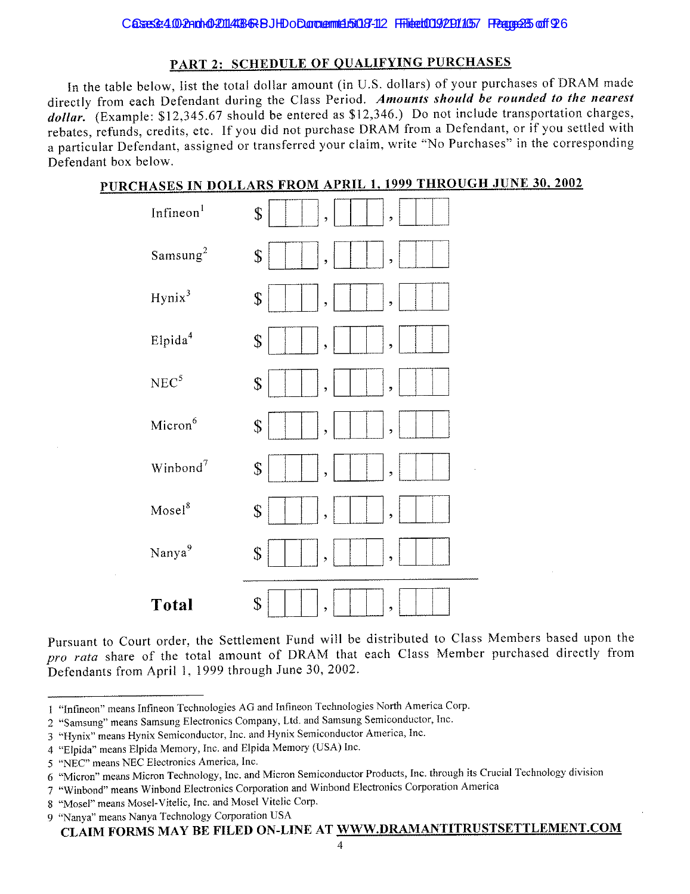#### PART 2: SCHEDULE OF QUALIFYING PURCHASES

In the table below, list the total dollar amount (in U.S. dollars) of your purchases of DRAM made directly from each Defendant during the Class Period. Amounts should be rounded to the nearest dollar. (Example:  $$12,345.67$  should be entered as  $$12,346$ .) Do not include transportation charges. rebates, refunds, credits, etc. If you did not purchase DRAM from a Defendant, or if you settled with a particular Defendant, assigned or transferred your claim, write "No Purchases" in the corresponding Defendant hox helow.

#### PURCHASES IN DOLLARS FROM APRIL 1, 1999 THROUGH JUNE 30, 2002

| <b>Total</b>          | \$<br>$\overline{\phantom{a}}$<br>,                                               |
|-----------------------|-----------------------------------------------------------------------------------|
| Nanya <sup>9</sup>    | \$<br>$\overline{z}$<br>,                                                         |
| Mosel <sup>8</sup>    | $\mathbb S$<br>,<br>,                                                             |
| Winbond <sup>7</sup>  | $\boldsymbol{\mathsf{S}}$<br>$\overline{\phantom{a}}$<br>$\overline{\phantom{a}}$ |
| Micron <sup>6</sup>   | $\boldsymbol{\S}$<br>$\bullet$<br>$\overline{z}$                                  |
| $NEC^5$               | \$<br>,<br>ÿ                                                                      |
| Elpida <sup>4</sup>   | \$<br>$\overline{\phantom{a}}$<br>,                                               |
| Hynix <sup>3</sup>    | \$<br>$\overline{\phantom{a}}$<br>$\overline{z}$                                  |
| Samsung <sup>2</sup>  | \$<br>,<br>ż                                                                      |
| Infineon <sup>1</sup> | \$<br>,<br>$\overline{\phantom{a}}$                                               |

Pursuant to Court order, the Settlement Fund will be distributed to Class Members based upon the pro rata share of the total amount of DRAM that each Class Member purchased directly from Defendants from April 1, 1999 through June 30, 2002.

<sup>1 &</sup>quot;Infineon" means Infineon Technologies AG and Infineon Technologies North America Corp.

<sup>2 &</sup>quot;Samsung" means Samsung Electronics Company, Ltd. and Samsung Semiconductor, Inc.

<sup>3 &</sup>quot;Hynix" means Hynix Semiconductor, Inc. and Hynix Semiconductor America, Inc.

<sup>4 &</sup>quot;Elpida" means Elpida Memory, Inc. and Elpida Memory (USA) Inc.

<sup>5 &</sup>quot;NEC" means NEC Electronics America, Inc.

<sup>6 &</sup>quot;Micron" means Micron Technology, Inc. and Micron Semiconductor Products, Inc. through its Crucial Technology division

<sup>7 &</sup>quot;Winbond" means Winbond Electronics Corporation and Winbond Electronics Corporation America

<sup>8 &</sup>quot;Mosel" means Mosel-Vitelic, Inc. and Mosel Vitelic Corp.

<sup>9 &</sup>quot;Nanya" means Nanya Technology Corporation USA

CLAIM FORMS MAY BE FILED ON-LINE AT WWW.DRAMANTITRUSTSETTLEMENT.COM